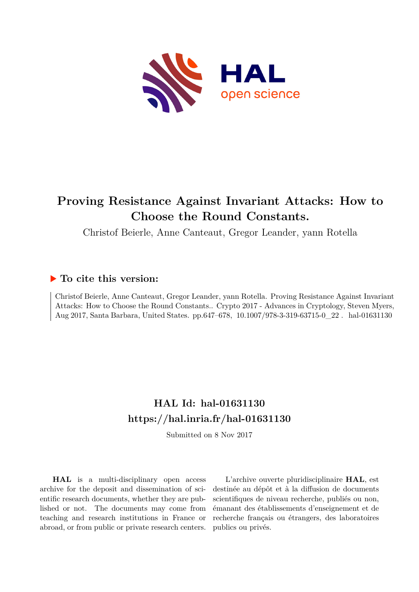

# **Proving Resistance Against Invariant Attacks: How to Choose the Round Constants.**

Christof Beierle, Anne Canteaut, Gregor Leander, yann Rotella

# **To cite this version:**

Christof Beierle, Anne Canteaut, Gregor Leander, yann Rotella. Proving Resistance Against Invariant Attacks: How to Choose the Round Constants.. Crypto 2017 - Advances in Cryptology, Steven Myers, Aug 2017, Santa Barbara, United States. pp.647–678, 10.1007/978-3-319-63715-0\_22. hal-01631130

# **HAL Id: hal-01631130 <https://hal.inria.fr/hal-01631130>**

Submitted on 8 Nov 2017

**HAL** is a multi-disciplinary open access archive for the deposit and dissemination of scientific research documents, whether they are published or not. The documents may come from teaching and research institutions in France or abroad, or from public or private research centers.

L'archive ouverte pluridisciplinaire **HAL**, est destinée au dépôt et à la diffusion de documents scientifiques de niveau recherche, publiés ou non, émanant des établissements d'enseignement et de recherche français ou étrangers, des laboratoires publics ou privés.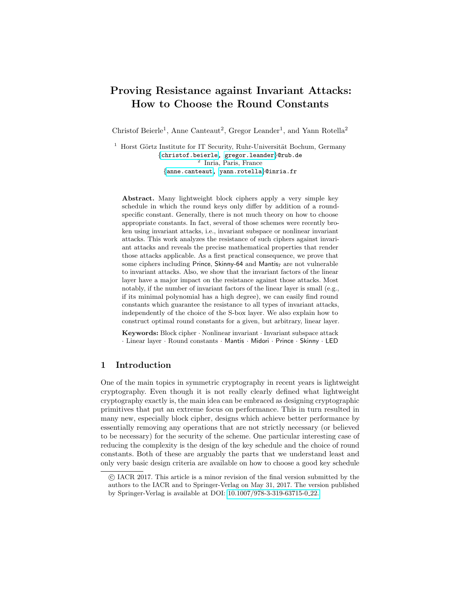# Proving Resistance against Invariant Attacks: How to Choose the Round Constants

Christof Beierle<sup>1</sup>, Anne Canteaut<sup>2</sup>, Gregor Leander<sup>1</sup>, and Yann Rotella<sup>2</sup>

 $1$  Horst Görtz Institute for IT Security, Ruhr-Universität Bochum, Germany {[christof.beierle,](mailto:christof.beierle@rub.de) [gregor.leander](mailto:gregor.leander@rub.de)}@rub.de 2 Inria, Paris, France {[anne.canteaut,](mailto:anne.canteaut@inria.fr) [yann.rotella](mailto:yann.rotella@inria.fr)}@inria.fr

Abstract. Many lightweight block ciphers apply a very simple key schedule in which the round keys only differ by addition of a roundspecific constant. Generally, there is not much theory on how to choose appropriate constants. In fact, several of those schemes were recently broken using invariant attacks, i.e., invariant subspace or nonlinear invariant attacks. This work analyzes the resistance of such ciphers against invariant attacks and reveals the precise mathematical properties that render those attacks applicable. As a first practical consequence, we prove that some ciphers including Prince, Skinny-64 and Mantis $<sub>7</sub>$  are not vulnerable</sub> to invariant attacks. Also, we show that the invariant factors of the linear layer have a major impact on the resistance against those attacks. Most notably, if the number of invariant factors of the linear layer is small (e.g., if its minimal polynomial has a high degree), we can easily find round constants which guarantee the resistance to all types of invariant attacks, independently of the choice of the S-box layer. We also explain how to construct optimal round constants for a given, but arbitrary, linear layer.

Keywords: Block cipher · Nonlinear invariant · Invariant subspace attack · Linear layer · Round constants · Mantis · Midori · Prince · Skinny · LED

# 1 Introduction

One of the main topics in symmetric cryptography in recent years is lightweight cryptography. Even though it is not really clearly defined what lightweight cryptography exactly is, the main idea can be embraced as designing cryptographic primitives that put an extreme focus on performance. This in turn resulted in many new, especially block cipher, designs which achieve better performance by essentially removing any operations that are not strictly necessary (or believed to be necessary) for the security of the scheme. One particular interesting case of reducing the complexity is the design of the key schedule and the choice of round constants. Both of these are arguably the parts that we understand least and only very basic design criteria are available on how to choose a good key schedule

c IACR 2017. This article is a minor revision of the final version submitted by the authors to the IACR and to Springer-Verlag on May 31, 2017. The version published by Springer-Verlag is available at DOI: [10.1007/978-3-319-63715-0](https://dx.doi.org/10.1007/978-3-319-63715-0_22) 22.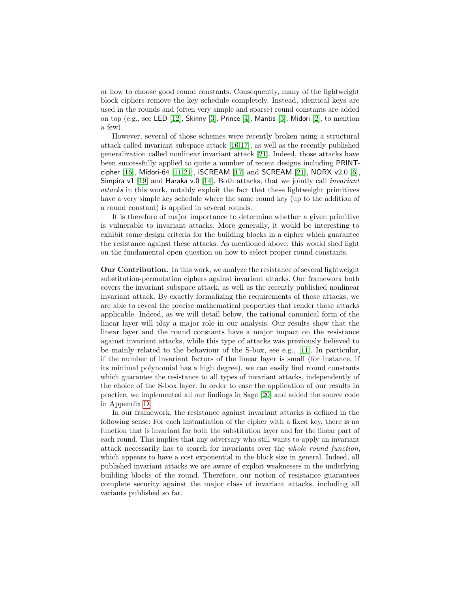or how to choose good round constants. Consequently, many of the lightweight block ciphers remove the key schedule completely. Instead, identical keys are used in the rounds and (often very simple and sparse) round constants are added on top (e.g., see LED [12], Skinny [3], Prince [4], Mantis [3], Midori [2], to mention a few).

However, several of those schemes were recently broken using a structural attack called invariant subspace attack [16,17], as well as the recently published generalization called nonlinear invariant attack [21]. Indeed, those attacks have been successfully applied to quite a number of recent designs including PRINTcipher [16], Midori-64 [11,21], iSCREAM [17] and SCREAM [21], NORX v2.0 [6], Simpira v1 [19] and Haraka v.0 [14]. Both attacks, that we jointly call *invariant* attacks in this work, notably exploit the fact that these lightweight primitives have a very simple key schedule where the same round key (up to the addition of a round constant) is applied in several rounds.

It is therefore of major importance to determine whether a given primitive is vulnerable to invariant attacks. More generally, it would be interesting to exhibit some design criteria for the building blocks in a cipher which guarantee the resistance against these attacks. As mentioned above, this would shed light on the fundamental open question on how to select proper round constants.

Our Contribution. In this work, we analyze the resistance of several lightweight substitution-permutation ciphers against invariant attacks. Our framework both covers the invariant subspace attack, as well as the recently published nonlinear invariant attack. By exactly formalizing the requirements of those attacks, we are able to reveal the precise mathematical properties that render those attacks applicable. Indeed, as we will detail below, the rational canonical form of the linear layer will play a major role in our analysis. Our results show that the linear layer and the round constants have a major impact on the resistance against invariant attacks, while this type of attacks was previously believed to be mainly related to the behaviour of the S-box, see e.g., [11]. In particular, if the number of invariant factors of the linear layer is small (for instance, if its minimal polynomial has a high degree), we can easily find round constants which guarantee the resistance to all types of invariant attacks, independently of the choice of the S-box layer. In order to ease the application of our results in practice, we implemented all our findings in Sage [20] and added the source code in Appendix D.

In our framework, the resistance against invariant attacks is defined in the following sense: For each instantiation of the cipher with a fixed key, there is no function that is invariant for both the substitution layer and for the linear part of each round. This implies that any adversary who still wants to apply an invariant attack necessarily has to search for invariants over the whole round function, which appears to have a cost exponential in the block size in general. Indeed, all published invariant attacks we are aware of exploit weaknesses in the underlying building blocks of the round. Therefore, our notion of resistance guarantees complete security against the major class of invariant attacks, including all variants published so far.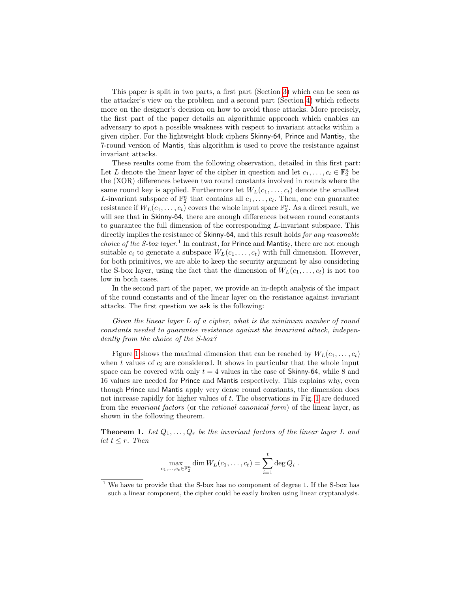This paper is split in two parts, a first part (Section 3) which can be seen as the attacker's view on the problem and a second part (Section 4) which reflects more on the designer's decision on how to avoid those attacks. More precisely, the first part of the paper details an algorithmic approach which enables an adversary to spot a possible weakness with respect to invariant attacks within a given cipher. For the lightweight block ciphers Skinny-64, Prince and Mantis<sub>7</sub>, the 7-round version of Mantis, this algorithm is used to prove the resistance against invariant attacks.

These results come from the following observation, detailed in this first part: Let L denote the linear layer of the cipher in question and let  $c_1, \ldots, c_t \in \mathbb{F}_2^n$  be the (XOR) differences between two round constants involved in rounds where the same round key is applied. Furthermore let  $W_L(c_1, \ldots, c_t)$  denote the smallest L-invariant subspace of  $\mathbb{F}_2^n$  that contains all  $c_1, \ldots, c_t$ . Then, one can guarantee resistance if  $W_L(c_1, \ldots, c_t)$  covers the whole input space  $\mathbb{F}_2^n$ . As a direct result, we will see that in Skinny-64, there are enough differences between round constants to guarantee the full dimension of the corresponding L-invariant subspace. This directly implies the resistance of Skinny-64, and this result holds for any reasonable choice of the S-box layer.<sup>1</sup> In contrast, for Prince and Mantis<sub>7</sub>, there are not enough suitable  $c_i$  to generate a subspace  $W_L(c_1, \ldots, c_t)$  with full dimension. However, for both primitives, we are able to keep the security argument by also considering the S-box layer, using the fact that the dimension of  $W_L(c_1, \ldots, c_t)$  is not too low in both cases.

In the second part of the paper, we provide an in-depth analysis of the impact of the round constants and of the linear layer on the resistance against invariant attacks. The first question we ask is the following:

Given the linear layer L of a cipher, what is the minimum number of round constants needed to guarantee resistance against the invariant attack, independently from the choice of the S-box?

Figure 1 shows the maximal dimension that can be reached by  $W_L(c_1, \ldots, c_t)$ when t values of  $c_i$  are considered. It shows in particular that the whole input space can be covered with only  $t = 4$  values in the case of Skinny-64, while 8 and 16 values are needed for Prince and Mantis respectively. This explains why, even though Prince and Mantis apply very dense round constants, the dimension does not increase rapidly for higher values of t. The observations in Fig. 1 are deduced from the invariant factors (or the rational canonical form) of the linear layer, as shown in the following theorem.

**Theorem 1.** Let  $Q_1, \ldots, Q_r$  be the invariant factors of the linear layer L and let  $t \leq r$ . Then

$$
\max_{c_1,\dots,c_t \in \mathbb{F}_2^n} \dim W_L(c_1,\dots,c_t) = \sum_{i=1}^t \deg Q_i.
$$

 $1$  We have to provide that the S-box has no component of degree 1. If the S-box has such a linear component, the cipher could be easily broken using linear cryptanalysis.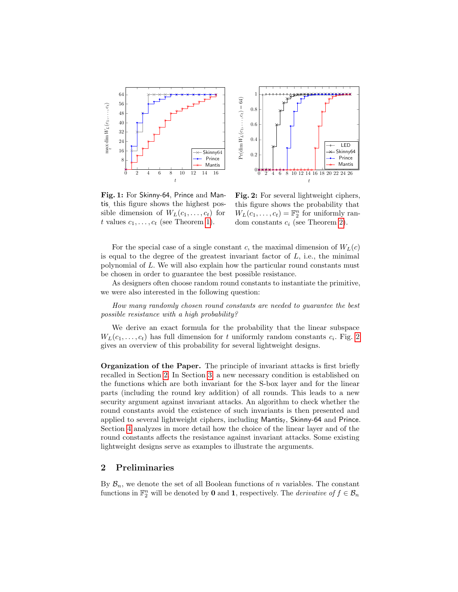



Fig. 1: For Skinny-64, Prince and Mantis, this figure shows the highest possible dimension of  $W_L(c_1, \ldots, c_t)$  for t values  $c_1, \ldots, c_t$  (see Theorem 1).

Fig. 2: For several lightweight ciphers, this figure shows the probability that  $W_L(c_1, \ldots, c_t) = \mathbb{F}_2^n$  for uniformly random constants  $c_i$  (see Theorem 2).

For the special case of a single constant c, the maximal dimension of  $W_L(c)$ is equal to the degree of the greatest invariant factor of  $L$ , i.e., the minimal polynomial of L. We will also explain how the particular round constants must be chosen in order to guarantee the best possible resistance.

As designers often choose random round constants to instantiate the primitive, we were also interested in the following question:

How many randomly chosen round constants are needed to guarantee the best possible resistance with a high probability?

We derive an exact formula for the probability that the linear subspace  $W_L(c_1, \ldots, c_t)$  has full dimension for t uniformly random constants  $c_i$ . Fig. 2 gives an overview of this probability for several lightweight designs.

Organization of the Paper. The principle of invariant attacks is first briefly recalled in Section 2. In Section 3, a new necessary condition is established on the functions which are both invariant for the S-box layer and for the linear parts (including the round key addition) of all rounds. This leads to a new security argument against invariant attacks. An algorithm to check whether the round constants avoid the existence of such invariants is then presented and applied to several lightweight ciphers, including Mantis<sub>7</sub>, Skinny-64 and Prince. Section 4 analyzes in more detail how the choice of the linear layer and of the round constants affects the resistance against invariant attacks. Some existing lightweight designs serve as examples to illustrate the arguments.

# 2 Preliminaries

By  $\mathcal{B}_n$ , we denote the set of all Boolean functions of n variables. The constant functions in  $\mathbb{F}_2^n$  will be denoted by **0** and **1**, respectively. The *derivative of*  $f \in \mathcal{B}_n$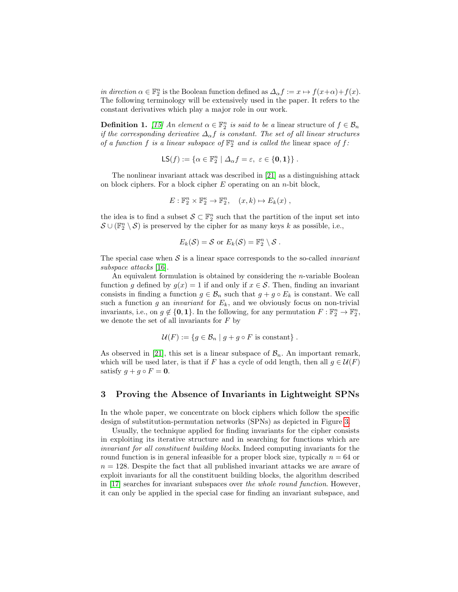in direction  $\alpha \in \mathbb{F}_2^n$  is the Boolean function defined as  $\Delta_{\alpha} f := x \mapsto f(x+\alpha) + f(x)$ . The following terminology will be extensively used in the paper. It refers to the constant derivatives which play a major role in our work.

**Definition 1.** [15] An element  $\alpha \in \mathbb{F}_2^n$  is said to be a linear structure of  $f \in \mathcal{B}_n$ if the corresponding derivative  $\Delta_{\alpha} f$  is constant. The set of all linear structures of a function f is a linear subspace of  $\mathbb{F}_2^n$  and is called the linear space of f:

$$
\mathsf{LS}(f) := \{ \alpha \in \mathbb{F}_2^n \mid \Delta_\alpha f = \varepsilon, \ \varepsilon \in \{0, 1\} \}.
$$

The nonlinear invariant attack was described in [21] as a distinguishing attack on block ciphers. For a block cipher  $E$  operating on an n-bit block,

$$
E: \mathbb{F}_2^n \times \mathbb{F}_2^\kappa \to \mathbb{F}_2^n, \quad (x, k) \mapsto E_k(x) ,
$$

the idea is to find a subset  $S \subset \mathbb{F}_2^n$  such that the partition of the input set into  $\mathcal{S} \cup (\mathbb{F}_2^n \setminus \mathcal{S})$  is preserved by the cipher for as many keys k as possible, i.e.,

$$
E_k(S) = S
$$
 or  $E_k(S) = \mathbb{F}_2^n \setminus S$ .

The special case when  $S$  is a linear space corresponds to the so-called *invariant* subspace attacks [16].

An equivalent formulation is obtained by considering the n-variable Boolean function g defined by  $g(x) = 1$  if and only if  $x \in S$ . Then, finding an invariant consists in finding a function  $g \in \mathcal{B}_n$  such that  $g + g \circ E_k$  is constant. We call such a function g an *invariant* for  $E_k$ , and we obviously focus on non-trivial invariants, i.e., on  $g \notin \{0, 1\}$ . In the following, for any permutation  $F : \mathbb{F}_2^n \to \mathbb{F}_2^n$ , we denote the set of all invariants for  $F$  by

$$
\mathcal{U}(F) := \{ g \in \mathcal{B}_n \mid g + g \circ F \text{ is constant} \} .
$$

As observed in [21], this set is a linear subspace of  $\mathcal{B}_n$ . An important remark, which will be used later, is that if F has a cycle of odd length, then all  $g \in \mathcal{U}(F)$ satisfy  $q + q \circ F = 0$ .

# 3 Proving the Absence of Invariants in Lightweight SPNs

In the whole paper, we concentrate on block ciphers which follow the specific design of substitution-permutation networks (SPNs) as depicted in Figure 3.

Usually, the technique applied for finding invariants for the cipher consists in exploiting its iterative structure and in searching for functions which are invariant for all constituent building blocks. Indeed computing invariants for the round function is in general infeasible for a proper block size, typically  $n = 64$  or  $n = 128$ . Despite the fact that all published invariant attacks we are aware of exploit invariants for all the constituent building blocks, the algorithm described in [17] searches for invariant subspaces over the whole round function. However, it can only be applied in the special case for finding an invariant subspace, and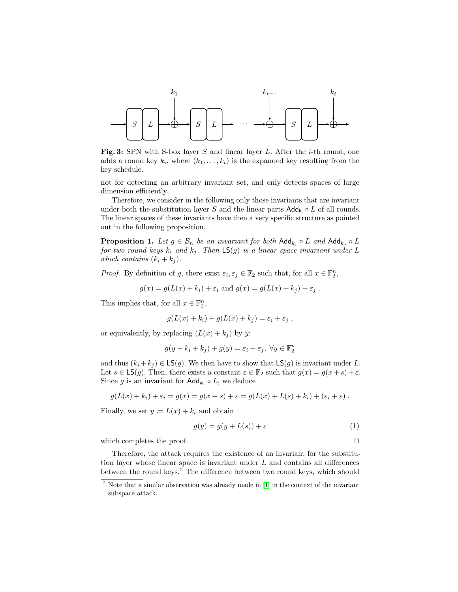

Fig. 3: SPN with S-box layer  $S$  and linear layer  $L$ . After the *i*-th round, one adds a round key  $k_i$ , where  $(k_1, \ldots, k_t)$  is the expanded key resulting from the key schedule.

not for detecting an arbitrary invariant set, and only detects spaces of large dimension efficiently.

Therefore, we consider in the following only those invariants that are invariant under both the substitution layer S and the linear parts  $\mathsf{Add}_{k_i} \circ L$  of all rounds. The linear spaces of these invariants have then a very specific structure as pointed out in the following proposition.

**Proposition 1.** Let  $g \in \mathcal{B}_n$  be an invariant for both  $\text{Add}_{k_i} \circ L$  and  $\text{Add}_{k_j} \circ L$ for two round keys  $k_i$  and  $k_j$ . Then  $\mathsf{LS}(g)$  is a linear space invariant under L which contains  $(k_i + k_j)$ .

*Proof.* By definition of g, there exist  $\varepsilon_i, \varepsilon_j \in \mathbb{F}_2$  such that, for all  $x \in \mathbb{F}_2^n$ ,

$$
g(x) = g(L(x) + k_i) + \varepsilon_i \text{ and } g(x) = g(L(x) + k_j) + \varepsilon_j.
$$

This implies that, for all  $x \in \mathbb{F}_2^n$ ,

$$
g(L(x) + k_i) + g(L(x) + k_j) = \varepsilon_i + \varepsilon_j,
$$

or equivalently, by replacing  $(L(x) + k_j)$  by y:

$$
g(y + k_i + k_j) + g(y) = \varepsilon_i + \varepsilon_j, \ \forall y \in \mathbb{F}_2^n
$$

and thus  $(k_i + k_j) \in \mathsf{LS}(g)$ . We then have to show that  $\mathsf{LS}(g)$  is invariant under L. Let  $s \in \mathsf{LS}(g)$ . Then, there exists a constant  $\varepsilon \in \mathbb{F}_2$  such that  $g(x) = g(x+s) + \varepsilon$ . Since g is an invariant for  $\mathsf{Add}_{k_i} \circ L$ , we deduce

$$
g(L(x) + k_i) + \varepsilon_i = g(x) = g(x + s) + \varepsilon = g(L(x) + L(s) + k_i) + (\varepsilon_i + \varepsilon).
$$

Finally, we set  $y := L(x) + k_i$  and obtain

$$
g(y) = g(y + L(s)) + \varepsilon \tag{1}
$$

which completes the proof.  $\Box$ 

Therefore, the attack requires the existence of an invariant for the substitution layer whose linear space is invariant under  $L$  and contains all differences between the round keys.<sup>2</sup> The difference between two round keys, which should

 $2$  Note that a similar observation was already made in [1] in the context of the invariant subspace attack.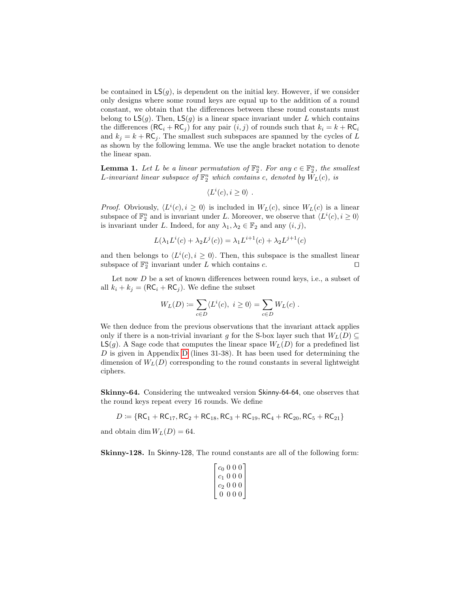be contained in  $LS(g)$ , is dependent on the initial key. However, if we consider only designs where some round keys are equal up to the addition of a round constant, we obtain that the differences between these round constants must belong to  $LS(g)$ . Then,  $LS(g)$  is a linear space invariant under L which contains the differences  $(RC_i + RC_j)$  for any pair  $(i, j)$  of rounds such that  $k_i = k + RC_i$ and  $k_i = k + \mathsf{RC}_i$ . The smallest such subspaces are spanned by the cycles of L as shown by the following lemma. We use the angle bracket notation to denote the linear span.

**Lemma 1.** Let L be a linear permutation of  $\mathbb{F}_2^n$ . For any  $c \in \mathbb{F}_2^n$ , the smallest L-invariant linear subspace of  $\mathbb{F}_2^n$  which contains c, denoted by  $\tilde{W}_L(c)$ , is

$$
\langle L^i(c), i \geq 0 \rangle.
$$

*Proof.* Obviously,  $\langle L^i(c), i \geq 0 \rangle$  is included in  $W_L(c)$ , since  $W_L(c)$  is a linear subspace of  $\mathbb{F}_2^n$  and is invariant under L. Moreover, we observe that  $\langle L^i(c), i \geq 0 \rangle$ is invariant under L. Indeed, for any  $\lambda_1, \lambda_2 \in \mathbb{F}_2$  and any  $(i, j)$ ,

$$
L(\lambda_1 L^i(c) + \lambda_2 L^j(c)) = \lambda_1 L^{i+1}(c) + \lambda_2 L^{j+1}(c)
$$

and then belongs to  $\langle L^i(c), i \geq 0 \rangle$ . Then, this subspace is the smallest linear subspace of  $\mathbb{F}_2^n$  invariant under L which contains c.

Let now  $D$  be a set of known differences between round keys, i.e., a subset of all  $k_i + k_j = (RC_i + RC_j)$ . We define the subset

$$
W_L(D) := \sum_{c \in D} \langle L^i(c), i \ge 0 \rangle = \sum_{c \in D} W_L(c) .
$$

We then deduce from the previous observations that the invariant attack applies only if there is a non-trivial invariant g for the S-box layer such that  $W_L(D) \subseteq$  $LS(g)$ . A Sage code that computes the linear space  $W_L(D)$  for a predefined list D is given in Appendix D (lines 31-38). It has been used for determining the dimension of  $W_L(D)$  corresponding to the round constants in several lightweight ciphers.

Skinny-64. Considering the untweaked version Skinny-64-64, one observes that the round keys repeat every 16 rounds. We define

$$
D \coloneqq \{ \mathsf{RC}_1 + \mathsf{RC}_{17}, \mathsf{RC}_2 + \mathsf{RC}_{18}, \mathsf{RC}_3 + \mathsf{RC}_{19}, \mathsf{RC}_4 + \mathsf{RC}_{20}, \mathsf{RC}_5 + \mathsf{RC}_{21} \}
$$

and obtain dim  $W_L(D) = 64$ .

Skinny-128. In Skinny-128, The round constants are all of the following form:

| $c_0 0 0 0$ |                |  |  |
|-------------|----------------|--|--|
| $c_1 0 0 0$ |                |  |  |
| $c_2 0 0 0$ |                |  |  |
| 0           | 0 <sub>0</sub> |  |  |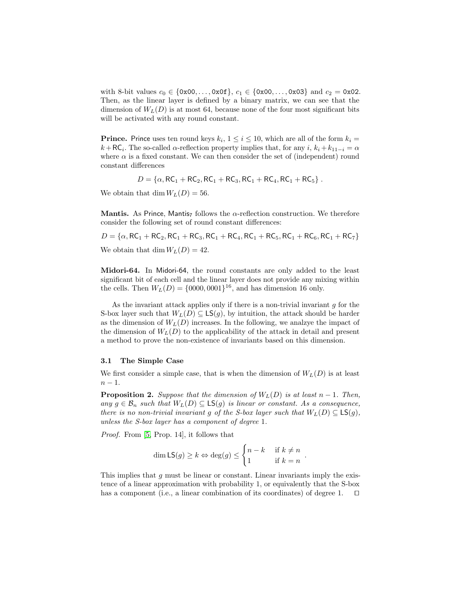with 8-bit values  $c_0 \in \{0 \times 00, ..., 0 \times 0 \}$ ,  $c_1 \in \{0 \times 00, ..., 0 \times 0 \}$  and  $c_2 = 0 \times 02$ . Then, as the linear layer is defined by a binary matrix, we can see that the dimension of  $W_L(D)$  is at most 64, because none of the four most significant bits will be activated with any round constant.

**Prince.** Prince uses ten round keys  $k_i$ ,  $1 \leq i \leq 10$ , which are all of the form  $k_i =$  $k + \mathsf{RC}_i$ . The so-called  $\alpha$ -reflection property implies that, for any  $i, k_i + k_{11-i} = \alpha$ where  $\alpha$  is a fixed constant. We can then consider the set of (independent) round constant differences

 $D = \{\alpha, RC_1 + RC_2, RC_1 + RC_3, RC_1 + RC_4, RC_1 + RC_5\}.$ 

We obtain that dim  $W_L(D) = 56$ .

Mantis. As Prince, Mantis<sub>7</sub> follows the  $\alpha$ -reflection construction. We therefore consider the following set of round constant differences:

$$
D = \{ \alpha, \text{RC}_1 + \text{RC}_2, \text{RC}_1 + \text{RC}_3, \text{RC}_1 + \text{RC}_4, \text{RC}_1 + \text{RC}_5, \text{RC}_1 + \text{RC}_6, \text{RC}_1 + \text{RC}_7 \}
$$
  
We obtain that dim  $W_L(D) = 42$ .

Midori-64. In Midori-64, the round constants are only added to the least significant bit of each cell and the linear layer does not provide any mixing within the cells. Then  $W_L(D) = \{0000, 0001\}^{16}$ , and has dimension 16 only.

As the invariant attack applies only if there is a non-trivial invariant  $g$  for the S-box layer such that  $W_L(D) \subseteq \mathsf{LS}(g)$ , by intuition, the attack should be harder as the dimension of  $W_L(D)$  increases. In the following, we analzye the impact of the dimension of  $W_L(D)$  to the applicability of the attack in detail and present a method to prove the non-existence of invariants based on this dimension.

#### 3.1 The Simple Case

We first consider a simple case, that is when the dimension of  $W_L(D)$  is at least  $n-1$ .

**Proposition 2.** Suppose that the dimension of  $W_L(D)$  is at least n – 1. Then, any  $g \in \mathcal{B}_n$  such that  $W_L(D) \subseteq \mathsf{LS}(g)$  is linear or constant. As a consequence, there is no non-trivial invariant g of the S-box layer such that  $W_L(D) \subseteq \mathsf{LS}(g)$ , unless the S-box layer has a component of degree 1.

Proof. From [5, Prop. 14], it follows that

$$
\dim \mathsf{LS}(g) \ge k \Leftrightarrow \deg(g) \le \begin{cases} n - k & \text{if } k \ne n \\ 1 & \text{if } k = n \end{cases}
$$

.

This implies that q must be linear or constant. Linear invariants imply the existence of a linear approximation with probability 1, or equivalently that the S-box has a component (i.e., a linear combination of its coordinates) of degree 1.  $\Box$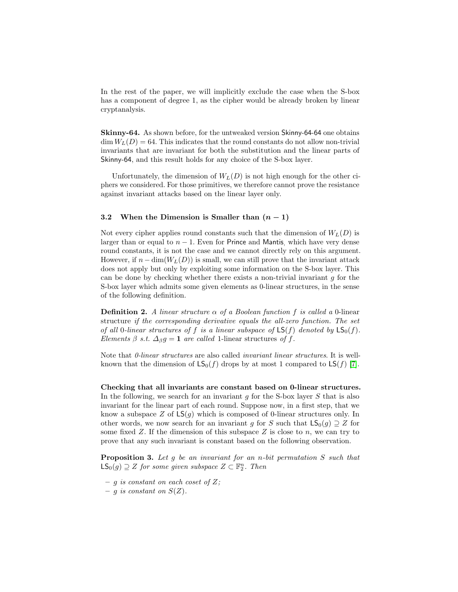In the rest of the paper, we will implicitly exclude the case when the S-box has a component of degree 1, as the cipher would be already broken by linear cryptanalysis.

Skinny-64. As shown before, for the untweaked version Skinny-64-64 one obtains  $\dim W_L(D) = 64$ . This indicates that the round constants do not allow non-trivial invariants that are invariant for both the substitution and the linear parts of Skinny-64, and this result holds for any choice of the S-box layer.

Unfortunately, the dimension of  $W_L(D)$  is not high enough for the other ciphers we considered. For those primitives, we therefore cannot prove the resistance against invariant attacks based on the linear layer only.

#### 3.2 When the Dimension is Smaller than  $(n-1)$

Not every cipher applies round constants such that the dimension of  $W_L(D)$  is larger than or equal to  $n - 1$ . Even for Prince and Mantis, which have very dense round constants, it is not the case and we cannot directly rely on this argument. However, if  $n - \dim(W_L(D))$  is small, we can still prove that the invariant attack does not apply but only by exploiting some information on the S-box layer. This can be done by checking whether there exists a non-trivial invariant g for the S-box layer which admits some given elements as 0-linear structures, in the sense of the following definition.

**Definition 2.** A linear structure  $\alpha$  of a Boolean function f is called a 0-linear structure if the corresponding derivative equals the all-zero function. The set of all 0-linear structures of f is a linear subspace of  $LS(f)$  denoted by  $LS_0(f)$ . Elements  $\beta$  s.t.  $\Delta_{\beta} g = 1$  are called 1-linear structures of f.

Note that *0-linear structures* are also called *invariant linear structures*. It is wellknown that the dimension of  $\mathsf{LS}_0(f)$  drops by at most 1 compared to  $\mathsf{LS}(f)$  [7].

Checking that all invariants are constant based on 0-linear structures. In the following, we search for an invariant q for the S-box layer  $S$  that is also invariant for the linear part of each round. Suppose now, in a first step, that we know a subspace Z of  $LS(g)$  which is composed of 0-linear structures only. In other words, we now search for an invariant g for S such that  $\mathsf{LS}_0(g) \supseteq Z$  for some fixed  $Z$ . If the dimension of this subspace  $Z$  is close to  $n$ , we can try to prove that any such invariant is constant based on the following observation.

Proposition 3. Let g be an invariant for an n-bit permutation S such that  $\mathsf{LS}_0(g) \supseteq Z$  for some given subspace  $Z \subset \mathbb{F}_2^n$ . Then

- g is constant on each coset of  $Z$ ;
- g is constant on  $S(Z)$ .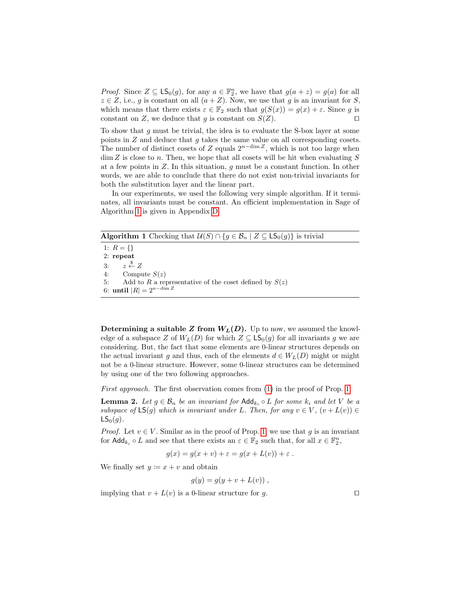*Proof.* Since  $Z \subseteq \mathsf{LS}_0(g)$ , for any  $a \in \mathbb{F}_2^n$ , we have that  $g(a+z) = g(a)$  for all  $z \in Z$ , i.e., g is constant on all  $(a + Z)$ . Now, we use that g is an invariant for S, which means that there exists  $\varepsilon \in \mathbb{F}_2$  such that  $g(S(x)) = g(x) + \varepsilon$ . Since g is constant on Z, we deduce that g is constant on  $S(Z)$ .

To show that g must be trivial, the idea is to evaluate the S-box layer at some points in  $Z$  and deduce that  $q$  takes the same value on all corresponding cosets. The number of distinct cosets of Z equals  $2^{n-\dim Z}$ , which is not too large when  $\dim Z$  is close to n. Then, we hope that all cosets will be hit when evaluating S at a few points in  $Z$ . In this situation,  $q$  must be a constant function. In other words, we are able to conclude that there do not exist non-trivial invariants for both the substitution layer and the linear part.

In our experiments, we used the following very simple algorithm. If it terminates, all invariants must be constant. An efficient implementation in Sage of Algorithm 1 is given in Appendix D.

**Algorithm 1** Checking that  $\mathcal{U}(S) \cap \{g \in \mathcal{B}_n \mid Z \subseteq \mathsf{LS}_0(g)\}\$ is trivial

1:  $R = \{\}$ 2: repeat  $3:$  $\stackrel{\$}{\leftarrow} Z$ 4: Compute  $S(z)$ 5: Add to R a representative of the coset defined by  $S(z)$ 6: until  $|R| = 2^{n-\dim Z}$ 

Determining a suitable Z from  $W_L(D)$ . Up to now, we assumed the knowledge of a subspace Z of  $W_L(D)$  for which  $Z \subseteq \mathsf{LS}_0(g)$  for all invariants g we are considering. But, the fact that some elements are 0-linear structures depends on the actual invariant g and thus, each of the elements  $d \in W_L(D)$  might or might not be a 0-linear structure. However, some 0-linear structures can be determined by using one of the two following approaches.

First approach. The first observation comes from (1) in the proof of Prop. 1.

**Lemma 2.** Let  $g \in \mathcal{B}_n$  be an invariant for  $\mathsf{Add}_{k_i} \circ L$  for some  $k_i$  and let V be a subspace of  $LS(q)$  which is invariant under L. Then, for any  $v \in V$ ,  $(v + L(v)) \in$  $LS_{0}(g)$ .

*Proof.* Let  $v \in V$ . Similar as in the proof of Prop. 1, we use that g is an invariant for  $\text{Add}_{k_i} \circ L$  and see that there exists an  $\varepsilon \in \mathbb{F}_2$  such that, for all  $x \in \mathbb{F}_2^n$ ,

$$
g(x) = g(x + v) + \varepsilon = g(x + L(v)) + \varepsilon.
$$

We finally set  $y \coloneqq x + v$  and obtain

$$
g(y) = g(y + v + L(v)),
$$

implying that  $v + L(v)$  is a 0-linear structure for g.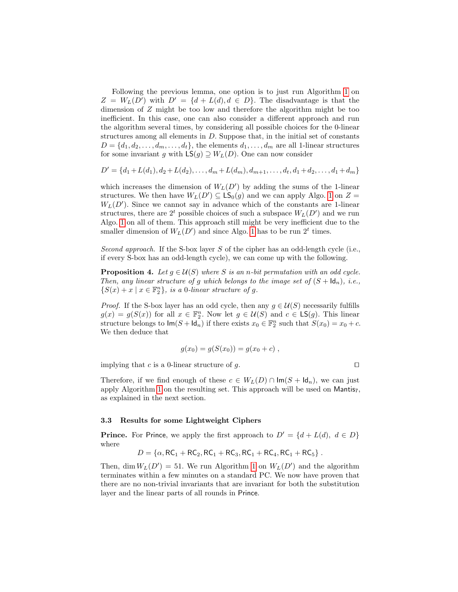Following the previous lemma, one option is to just run Algorithm 1 on  $Z = W_L(D')$  with  $D' = \{d + L(d), d \in D\}$ . The disadvantage is that the dimension of Z might be too low and therefore the algorithm might be too inefficient. In this case, one can also consider a different approach and run the algorithm several times, by considering all possible choices for the 0-linear structures among all elements in  $D$ . Suppose that, in the initial set of constants  $D = \{d_1, d_2, \ldots, d_m, \ldots, d_t\}$ , the elements  $d_1, \ldots, d_m$  are all 1-linear structures for some invariant g with  $LS(g) \supseteq W_L(D)$ . One can now consider

$$
D' = \{d_1 + L(d_1), d_2 + L(d_2), \dots, d_m + L(d_m), d_{m+1}, \dots, d_t, d_1 + d_2, \dots, d_1 + d_m\}
$$

which increases the dimension of  $W_L(D')$  by adding the sums of the 1-linear structures. We then have  $W_L(D') \subseteq \mathsf{LS}_0(g)$  and we can apply Algo. 1 on  $Z =$  $W<sub>L</sub>(D')$ . Since we cannot say in advance which of the constants are 1-linear structures, there are  $2^t$  possible choices of such a subspace  $W_L(D')$  and we run Algo. 1 on all of them. This approach still might be very inefficient due to the smaller dimension of  $W_L(D')$  and since Algo. 1 has to be run  $2^t$  times.

Second approach. If the S-box layer  $S$  of the cipher has an odd-length cycle (i.e., if every S-box has an odd-length cycle), we can come up with the following.

**Proposition 4.** Let  $g \in \mathcal{U}(S)$  where S is an n-bit permutation with an odd cycle. Then, any linear structure of g which belongs to the image set of  $(S + \mathsf{Id}_n)$ , i.e.,  $\{S(x) + x \mid x \in \mathbb{F}_2^n\}$ , is a 0-linear structure of g.

*Proof.* If the S-box layer has an odd cycle, then any  $q \in \mathcal{U}(S)$  necessarily fulfills  $g(x) = g(S(x))$  for all  $x \in \mathbb{F}_2^n$ . Now let  $g \in \mathcal{U}(S)$  and  $c \in \mathsf{LS}(g)$ . This linear structure belongs to  $\textsf{Im}(S + \textsf{Id}_n)$  if there exists  $x_0 \in \mathbb{F}_2^n$  such that  $S(x_0) = x_0 + c$ . We then deduce that

$$
g(x_0) = g(S(x_0)) = g(x_0 + c) ,
$$

implying that c is a 0-linear structure of g.  $\Box$ 

Therefore, if we find enough of these  $c \in W_L(D) \cap \text{Im}(S + \text{Id}_n)$ , we can just apply Algorithm 1 on the resulting set. This approach will be used on Mantis<sub>7</sub>, as explained in the next section.

#### 3.3 Results for some Lightweight Ciphers

**Prince.** For Prince, we apply the first approach to  $D' = \{d + L(d), d \in D\}$ where

$$
D = \{ \alpha, RC_1 + RC_2, RC_1 + RC_3, RC_1 + RC_4, RC_1 + RC_5 \}.
$$

Then, dim  $W_L(D') = 51$ . We run Algorithm 1 on  $W_L(D')$  and the algorithm terminates within a few minutes on a standard PC. We now have proven that there are no non-trivial invariants that are invariant for both the substitution layer and the linear parts of all rounds in Prince.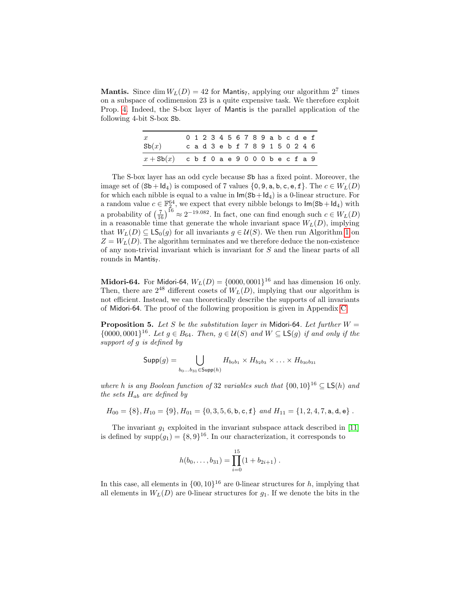**Mantis.** Since  $\dim W_L(D) = 42$  for Mantis<sub>7</sub>, applying our algorithm  $2^7$  times on a subspace of codimension 23 is a quite expensive task. We therefore exploit Prop. 4. Indeed, the S-box layer of Mantis is the parallel application of the following 4-bit S-box Sb.

| $\boldsymbol{x}$                            |  |  |  |  |  | 0123456789abcdef              |  |  |  |
|---------------------------------------------|--|--|--|--|--|-------------------------------|--|--|--|
| $\text{Sb}(x)$                              |  |  |  |  |  | cad 3 e b f 7 8 9 1 5 0 2 4 6 |  |  |  |
| $x + Sb(x)$ c b f 0 a e 9 0 0 0 b e c f a 9 |  |  |  |  |  |                               |  |  |  |

The S-box layer has an odd cycle because Sb has a fixed point. Moreover, the image set of  $(\text{Sb} + \text{Id}_4)$  is composed of 7 values  $\{0, 9, a, b, c, e, f\}$ . The  $c \in W_L(D)$ for which each nibble is equal to a value in  $Im(Sb+Id_4)$  is a 0-linear structure. For a random value  $c \in \mathbb{F}_2^{64}$ , we expect that every nibble belongs to  $\mathsf{Im}(\mathsf{Sb} + \mathsf{Id}_4)$  with a probability of  $\left(\frac{7}{16}\right)^{16} \approx 2^{-19.082}$ . In fact, one can find enough such  $c \in W_L(D)$ in a reasonable time that generate the whole invariant space  $W_L(D)$ , implying that  $W_L(D) \subseteq \mathsf{LS}_0(g)$  for all invariants  $g \in \mathcal{U}(S)$ . We then run Algorithm 1 on  $Z = W<sub>L</sub>(D)$ . The algorithm terminates and we therefore deduce the non-existence of any non-trivial invariant which is invariant for S and the linear parts of all rounds in Mantis<sub>7</sub>.

**Midori-64.** For Midori-64,  $W_L(D) = \{0000, 0001\}^{16}$  and has dimension 16 only. Then, there are  $2^{48}$  different cosets of  $W_L(D)$ , implying that our algorithm is not efficient. Instead, we can theoretically describe the supports of all invariants of Midori-64. The proof of the following proposition is given in Appendix C.

**Proposition 5.** Let S be the substitution layer in Midori-64. Let further  $W =$  $\{0000, 0001\}^{16}$ . Let  $g \in B_{64}$ . Then,  $g \in \mathcal{U}(S)$  and  $W \subseteq \mathsf{LS}(g)$  if and only if the support of g is defined by

$$
\mathsf{Supp}(g) = \bigcup_{b_0...b_{31} \in \mathsf{Supp}(h)} H_{b_0b_1} \times H_{b_2b_3} \times \ldots \times H_{b_{30}b_{31}}
$$

where h is any Boolean function of 32 variables such that  $\{00, 10\}^{16} \subseteq \mathsf{LS}(h)$  and the sets  $H_{ab}$  are defined by

$$
H_{00} = \{8\}, H_{10} = \{9\}, H_{01} = \{0, 3, 5, 6, \mathbf{b}, \mathbf{c}, \mathbf{f}\} \text{ and } H_{11} = \{1, 2, 4, 7, \mathbf{a}, \mathbf{d}, \mathbf{e}\}.
$$

The invariant  $g_1$  exploited in the invariant subspace attack described in [11] is defined by  $\text{supp}(g_1) = \{8, 9\}^{16}$ . In our characterization, it corresponds to

$$
h(b_0,\ldots,b_{31})=\prod_{i=0}^{15}(1+b_{2i+1}).
$$

In this case, all elements in  $\{00, 10\}^{16}$  are 0-linear structures for h, implying that all elements in  $W_L(D)$  are 0-linear structures for  $g_1$ . If we denote the bits in the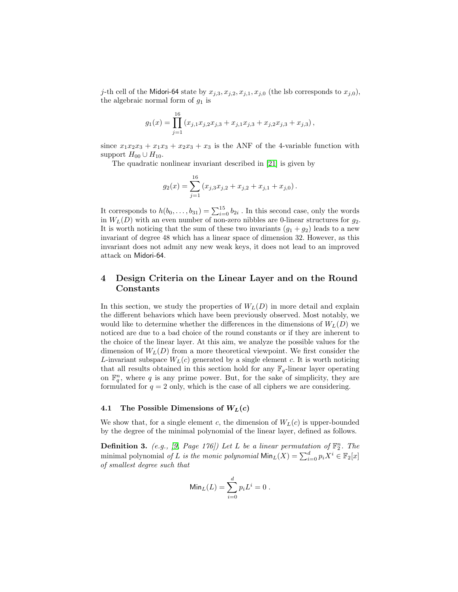j-th cell of the Midori-64 state by  $x_{j,3}, x_{j,2}, x_{j,1}, x_{j,0}$  (the lsb corresponds to  $x_{j,0}$ ), the algebraic normal form of  $g_1$  is

$$
g_1(x) = \prod_{j=1}^{16} (x_{j,1}x_{j,2}x_{j,3} + x_{j,1}x_{j,3} + x_{j,2}x_{j,3} + x_{j,3}),
$$

since  $x_1x_2x_3 + x_1x_3 + x_2x_3 + x_3$  is the ANF of the 4-variable function with support  $H_{00} \cup H_{10}$ .

The quadratic nonlinear invariant described in [21] is given by

$$
g_2(x) = \sum_{j=1}^{16} (x_{j,3}x_{j,2} + x_{j,2} + x_{j,1} + x_{j,0}).
$$

It corresponds to  $h(b_0, \ldots, b_{31}) = \sum_{i=0}^{15} b_{2i}$ . In this second case, only the words in  $W_L(D)$  with an even number of non-zero nibbles are 0-linear structures for  $g_2$ . It is worth noticing that the sum of these two invariants  $(q_1 + q_2)$  leads to a new invariant of degree 48 which has a linear space of dimension 32. However, as this invariant does not admit any new weak keys, it does not lead to an improved attack on Midori-64.

# 4 Design Criteria on the Linear Layer and on the Round Constants

In this section, we study the properties of  $W_L(D)$  in more detail and explain the different behaviors which have been previously observed. Most notably, we would like to determine whether the differences in the dimensions of  $W_L(D)$  we noticed are due to a bad choice of the round constants or if they are inherent to the choice of the linear layer. At this aim, we analyze the possible values for the dimension of  $W<sub>L</sub>(D)$  from a more theoretical viewpoint. We first consider the L-invariant subspace  $W<sub>L</sub>(c)$  generated by a single element c. It is worth noticing that all results obtained in this section hold for any  $\mathbb{F}_q$ -linear layer operating on  $\mathbb{F}_q^n$ , where q is any prime power. But, for the sake of simplicity, they are formulated for  $q = 2$  only, which is the case of all ciphers we are considering.

#### 4.1 The Possible Dimensions of  $W_L(c)$

We show that, for a single element c, the dimension of  $W_L(c)$  is upper-bounded by the degree of the minimal polynomial of the linear layer, defined as follows.

**Definition 3.** (e.g., [9, Page 176]) Let L be a linear permutation of  $\mathbb{F}_2^n$ . The minimal polynomial of L is the monic polynomial  $\textsf{Min}_L(X) = \sum_{i=0}^d p_i X^i \in \mathbb{F}_2[x]$ of smallest degree such that

$$
\mathrm{Min}_L(L) = \sum_{i=0}^d p_i L^i = 0.
$$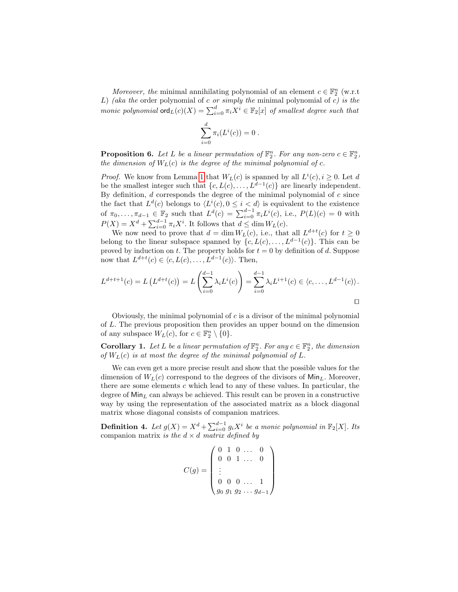Moreover, the minimal annihilating polynomial of an element  $c \in \mathbb{F}_2^n$  (w.r.t L) (aka the order polynomial of c or simply the minimal polynomial of c) is the monic polynomial  $\text{ord}_L(c)(X) = \sum_{i=0}^d \pi_i X^i \in \mathbb{F}_2[x]$  of smallest degree such that

$$
\sum_{i=0}^{d} \pi_i(L^i(c)) = 0.
$$

**Proposition 6.** Let L be a linear permutation of  $\mathbb{F}_2^n$ . For any non-zero  $c \in \mathbb{F}_2^n$ , the dimension of  $W_L(c)$  is the degree of the minimal polynomial of c.

*Proof.* We know from Lemma 1 that  $W_L(c)$  is spanned by all  $L^i(c), i \geq 0$ . Let d be the smallest integer such that  $\{c, L(c), \ldots, L^{d-1}(c)\}\$  are linearly independent. By definition,  $d$  corresponds the degree of the minimal polynomial of  $c$  since the fact that  $L^d(c)$  belongs to  $\langle L^i(c), 0 \leq i < d \rangle$  is equivalent to the existence of  $\pi_0, \ldots, \pi_{d-1} \in \mathbb{F}_2$  such that  $L^d(c) = \sum_{i=0}^{d-1} \pi_i L^i(c)$ , i.e.,  $P(L)(c) = 0$  with  $P(X) = X^d + \sum_{i=0}^{d-1} \pi_i X^i$ . It follows that  $d \le \dim W_L(c)$ .

We now need to prove that  $d = \dim W_L(c)$ , i.e., that all  $L^{d+t}(c)$  for  $t \geq 0$ belong to the linear subspace spanned by  $\{c, L(c), \ldots, L^{d-1}(c)\}\$ . This can be proved by induction on t. The property holds for  $t = 0$  by definition of d. Suppose now that  $L^{d+t}(c) \in \langle c, L(c), \ldots, L^{d-1}(c) \rangle$ . Then,

$$
L^{d+t+1}(c) = L(L^{d+t}(c)) = L\left(\sum_{i=0}^{d-1} \lambda_i L^i(c)\right) = \sum_{i=0}^{d-1} \lambda_i L^{i+1}(c) \in \langle c, \dots, L^{d-1}(c) \rangle.
$$

Obviously, the minimal polynomial of  $c$  is a divisor of the minimal polynomial of L. The previous proposition then provides an upper bound on the dimension of any subspace  $W_L(c)$ , for  $c \in \mathbb{F}_2^n \setminus \{0\}$ .

**Corollary 1.** Let L be a linear permutation of  $\mathbb{F}_2^n$ . For any  $c \in \mathbb{F}_2^n$ , the dimension of  $W_L(c)$  is at most the degree of the minimal polynomial of L.

We can even get a more precise result and show that the possible values for the dimension of  $W_L(c)$  correspond to the degrees of the divisors of  $\mathsf{Min}_L$ . Moreover, there are some elements  $c$  which lead to any of these values. In particular, the degree of  $\text{Min}_L$  can always be achieved. This result can be proven in a constructive way by using the representation of the associated matrix as a block diagonal matrix whose diagonal consists of companion matrices.

**Definition 4.** Let  $g(X) = X^d + \sum_{i=0}^{d-1} g_i X^i$  be a monic polynomial in  $\mathbb{F}_2[X]$ . Its companion matrix is the  $d \times d$  matrix defined by

$$
C(g) = \begin{pmatrix} 0 & 1 & 0 & \dots & 0 \\ 0 & 0 & 1 & \dots & 0 \\ \vdots & & & & \\ 0 & 0 & 0 & \dots & 1 \\ g_0 & g_1 & g_2 & \dots & g_{d-1} \end{pmatrix}
$$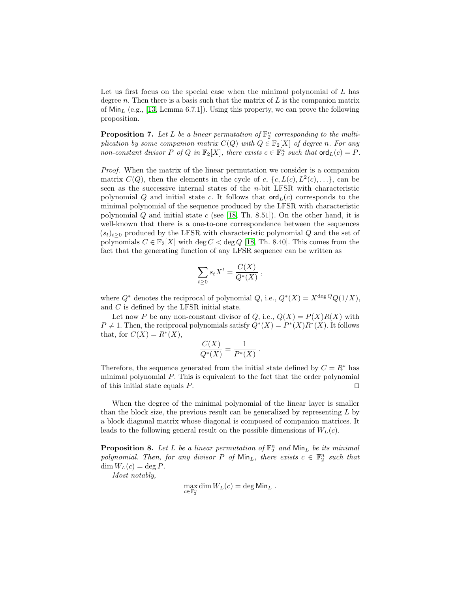Let us first focus on the special case when the minimal polynomial of  $L$  has degree n. Then there is a basis such that the matrix of  $L$  is the companion matrix of Min<sub>L</sub> (e.g., [13, Lemma 6.7.1]). Using this property, we can prove the following proposition.

**Proposition 7.** Let L be a linear permutation of  $\mathbb{F}_2^n$  corresponding to the multiplication by some companion matrix  $C(Q)$  with  $Q \in \mathbb{F}_2[X]$  of degree n. For any non-constant divisor P of Q in  $\mathbb{F}_2[X]$ , there exists  $c \in \mathbb{F}_2^n$  such that  $\text{ord}_L(c) = P$ .

Proof. When the matrix of the linear permutation we consider is a companion matrix  $C(Q)$ , then the elements in the cycle of c,  $\{c, L(c), L^2(c), \ldots\}$ , can be seen as the successive internal states of the n-bit LFSR with characteristic polynomial Q and initial state c. It follows that  $\text{ord}_{L}(c)$  corresponds to the minimal polynomial of the sequence produced by the LFSR with characteristic polynomial Q and initial state c (see [18, Th. 8.51]). On the other hand, it is well-known that there is a one-to-one correspondence between the sequences  $(s_t)_{t\geq0}$  produced by the LFSR with characteristic polynomial Q and the set of polynomials  $C \in \mathbb{F}_2[X]$  with  $\deg C < \deg Q$  [18, Th. 8.40]. This comes from the fact that the generating function of any LFSR sequence can be written as

$$
\sum_{t\geq 0} s_t X^t = \frac{C(X)}{Q^*(X)},
$$

where  $Q^*$  denotes the reciprocal of polynomial  $Q$ , i.e.,  $Q^*(X) = X^{\deg Q}(1/X)$ , and C is defined by the LFSR initial state.

Let now P be any non-constant divisor of Q, i.e.,  $Q(X) = P(X)R(X)$  with  $P \neq 1$ . Then, the reciprocal polynomials satisfy  $Q^*(X) = P^*(X)R^*(X)$ . It follows that, for  $C(X) = R^*(X)$ ,

$$
\frac{C(X)}{Q^*(X)} = \frac{1}{P^*(X)}.
$$

Therefore, the sequence generated from the initial state defined by  $C = R^*$  has minimal polynomial P. This is equivalent to the fact that the order polynomial of this initial state equals  $P$ .

When the degree of the minimal polynomial of the linear layer is smaller than the block size, the previous result can be generalized by representing L by a block diagonal matrix whose diagonal is composed of companion matrices. It leads to the following general result on the possible dimensions of  $W_L(c)$ .

**Proposition 8.** Let L be a linear permutation of  $\mathbb{F}_2^n$  and  $\text{Min}_L$  be its minimal polynomial. Then, for any divisor P of  $\text{Min}_L$ , there exists  $c \in \mathbb{F}_2^n$  such that  $\dim W_L(c) = \deg P$ .

Most notably,

$$
\max_{c \in \mathbb{F}_2^n} \dim W_L(c) = \deg \mathsf{Min}_L.
$$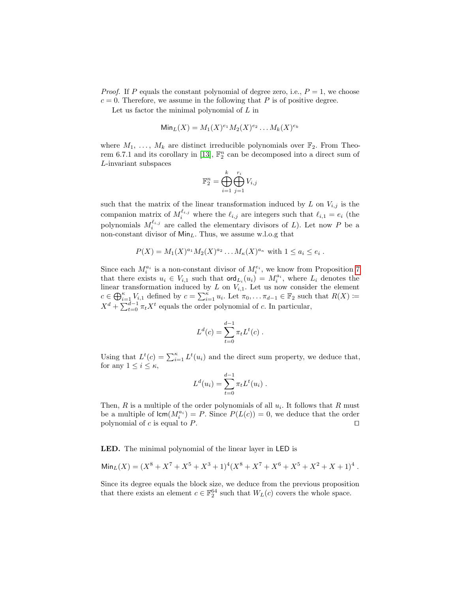*Proof.* If P equals the constant polynomial of degree zero, i.e.,  $P = 1$ , we choose  $c = 0$ . Therefore, we assume in the following that P is of positive degree.

Let us factor the minimal polynomial of  $L$  in

$$
\text{Min}_{L}(X) = M_{1}(X)^{e_{1}} M_{2}(X)^{e_{2}} \dots M_{k}(X)^{e_{k}}
$$

where  $M_1, \ldots, M_k$  are distinct irreducible polynomials over  $\mathbb{F}_2$ . From Theorem 6.7.1 and its corollary in [13],  $\mathbb{F}_2^n$  can be decomposed into a direct sum of L-invariant subspaces

$$
\mathbb{F}_2^n = \bigoplus_{i=1}^k \bigoplus_{j=1}^{r_i} V_{i,j}
$$

such that the matrix of the linear transformation induced by  $L$  on  $V_{i,j}$  is the companion matrix of  $M_i^{\ell_{i,j}}$  where the  $\ell_{i,j}$  are integers such that  $\ell_{i,1} = e_i$  (the polynomials  $M_i^{\ell_{i,j}}$  are called the elementary divisors of L). Let now P be a non-constant divisor of  $\text{Min}_L$ . Thus, we assume w.l.o.g that

$$
P(X) = M_1(X)^{a_1} M_2(X)^{a_2} \dots M_{\kappa}(X)^{a_{\kappa}}
$$
 with  $1 \le a_i \le e_i$ 

.

Since each  $M_i^{a_i}$  is a non-constant divisor of  $M_i^{e_i}$ , we know from Proposition 7 that there exists  $u_i \in V_{i,1}$  such that  $\text{ord}_{L_i}(u_i) = M_i^{a_i}$ , where  $L_i$  denotes the linear transformation induced by L on  $V_{i,1}$ . Let us now consider the element  $c \in \bigoplus_{i=1}^{\kappa} V_{i,1}$  defined by  $c = \sum_{i=1}^{\kappa} u_i$ . Let  $\pi_0, \ldots, \pi_{d-1} \in \mathbb{F}_2$  such that  $R(X) \coloneqq$  $X^d + \sum_{t=0}^{d-1} \pi_t X^t$  equals the order polynomial of c. In particular,

$$
L^{d}(c) = \sum_{t=0}^{d-1} \pi_t L^{t}(c) .
$$

Using that  $L^t(c) = \sum_{i=1}^{\kappa} L^t(u_i)$  and the direct sum property, we deduce that, for any  $1 \leq i \leq \kappa$ ,

$$
L^{d}(u_{i}) = \sum_{t=0}^{d-1} \pi_{t} L^{t}(u_{i}).
$$

Then,  $R$  is a multiple of the order polynomials of all  $u_i$ . It follows that  $R$  must be a multiple of  $\text{lcm}(M_i^{a_i}) = P$ . Since  $P(L(c)) = 0$ , we deduce that the order polynomial of c is equal to P.  $\Box$ 

LED. The minimal polynomial of the linear layer in LED is

$$
Min_L(X) = (X^8 + X^7 + X^5 + X^3 + 1)^4 (X^8 + X^7 + X^6 + X^5 + X^2 + X + 1)^4.
$$

Since its degree equals the block size, we deduce from the previous proposition that there exists an element  $c \in \mathbb{F}_2^{64}$  such that  $W_L(c)$  covers the whole space.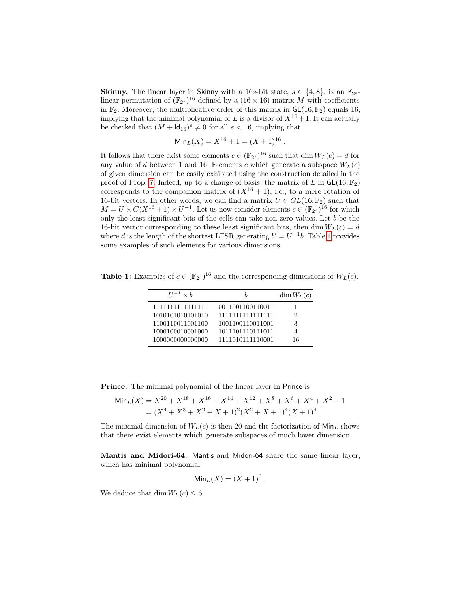**Skinny.** The linear layer in Skinny with a 16s-bit state,  $s \in \{4, 8\}$ , is an  $\mathbb{F}_{2^s}$ linear permutation of  $(\mathbb{F}_{2^s})^{16}$  defined by a  $(16 \times 16)$  matrix M with coefficients in  $\mathbb{F}_2$ . Moreover, the multiplicative order of this matrix in  $GL(16, \mathbb{F}_2)$  equals 16, implying that the minimal polynomial of L is a divisor of  $X^{16} + 1$ . It can actually be checked that  $(M + \mathsf{Id}_{16})^e \neq 0$  for all  $e < 16$ , implying that

$$
Min_L(X) = X^{16} + 1 = (X + 1)^{16}
$$

.

It follows that there exist some elements  $c \in (\mathbb{F}_{2^s})^{16}$  such that  $\dim W_L(c) = d$  for any value of d between 1 and 16. Elements c which generate a subspace  $W_L(c)$ of given dimension can be easily exhibited using the construction detailed in the proof of Prop. 7. Indeed, up to a change of basis, the matrix of L in  $GL(16, \mathbb{F}_2)$ corresponds to the companion matrix of  $(X^{16} + 1)$ , i.e., to a mere rotation of 16-bit vectors. In other words, we can find a matrix  $U \in GL(16, \mathbb{F}_2)$  such that  $M = U \times C(X^{16} + 1) \times U^{-1}$ . Let us now consider elements  $c \in (\mathbb{F}_{2^s})^{16}$  for which only the least significant bits of the cells can take non-zero values. Let  $b$  be the 16-bit vector corresponding to these least significant bits, then dim  $W_L(c) = d$ where d is the length of the shortest LFSR generating  $b' = U^{-1}b$ . Table 1 provides some examples of such elements for various dimensions.

**Table 1:** Examples of  $c \in (\mathbb{F}_{2^s})^{16}$  and the corresponding dimensions of  $W_L(c)$ .

| $U^{-1} \times b$ | h                | $\dim W_L(c)$ |
|-------------------|------------------|---------------|
| 1111111111111111  | 0011001100110011 |               |
| 1010101010101010  | 1111111111111111 | 2             |
| 1100110011001100  | 1001100110011001 | 3             |
| 1000100010001000  | 1011101110111011 |               |
| 1000000000000000  | 1111010111110001 | 16            |
|                   |                  |               |

Prince. The minimal polynomial of the linear layer in Prince is

$$
\begin{aligned} \text{Min}_L(X) &= X^{20} + X^{18} + X^{16} + X^{14} + X^{12} + X^8 + X^6 + X^4 + X^2 + 1 \\ &= (X^4 + X^3 + X^2 + X + 1)^2 (X^2 + X + 1)^4 (X + 1)^4 \,. \end{aligned}
$$

The maximal dimension of  $W_L(c)$  is then 20 and the factorization of Min<sub>L</sub> shows that there exist elements which generate subspaces of much lower dimension.

Mantis and Midori-64. Mantis and Midori-64 share the same linear layer, which has minimal polynomial

$$
\operatorname{Min}_L(X) = (X+1)^6.
$$

We deduce that dim  $W_L(c) \leq 6$ .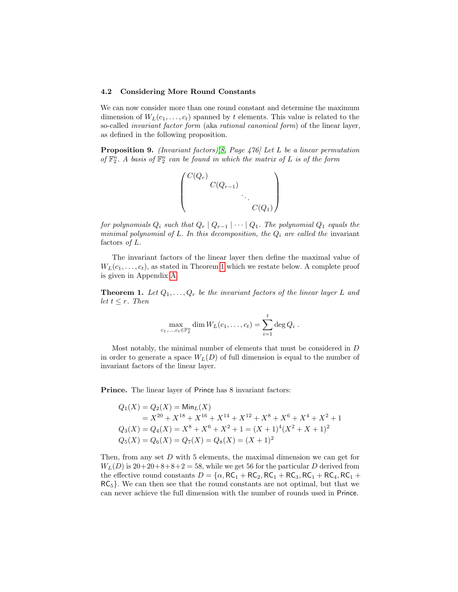#### 4.2 Considering More Round Constants

We can now consider more than one round constant and determine the maximum dimension of  $W_L(c_1, \ldots, c_t)$  spanned by t elements. This value is related to the so-called invariant factor form (aka rational canonical form) of the linear layer, as defined in the following proposition.

**Proposition 9.** (Invariant factors)[8, Page 476] Let L be a linear permutation of  $\mathbb{F}_2^n$ . A basis of  $\mathbb{F}_2^n$  can be found in which the matrix of L is of the form

$$
\begin{pmatrix}\nC(Q_r) \\
C(Q_{r-1}) \\
\vdots \\
C(Q_1)\n\end{pmatrix}
$$

for polynomials  $Q_i$  such that  $Q_r | Q_{r-1} | \cdots | Q_1$ . The polynomial  $Q_1$  equals the minimal polynomial of L. In this decomposition, the  $Q_i$  are called the invariant factors of  $L$ .

The invariant factors of the linear layer then define the maximal value of  $W_L(c_1, \ldots, c_t)$ , as stated in Theorem 1 which we restate below. A complete proof is given in Appendix A.

**Theorem 1.** Let  $Q_1, \ldots, Q_r$  be the invariant factors of the linear layer L and let  $t < r$ . Then

$$
\max_{c_1,\dots,c_t \in \mathbb{F}_2^n} \dim W_L(c_1,\dots,c_t) = \sum_{i=1}^t \deg Q_i.
$$

Most notably, the minimal number of elements that must be considered in D in order to generate a space  $W<sub>L</sub>(D)$  of full dimension is equal to the number of invariant factors of the linear layer.

Prince. The linear layer of Prince has 8 invariant factors:

$$
Q_1(X) = Q_2(X) = \text{Min}_L(X)
$$
  
=  $X^{20} + X^{18} + X^{16} + X^{14} + X^{12} + X^8 + X^6 + X^4 + X^2 + 1$   

$$
Q_3(X) = Q_4(X) = X^8 + X^6 + X^2 + 1 = (X+1)^4(X^2 + X + 1)^2
$$
  

$$
Q_5(X) = Q_6(X) = Q_7(X) = Q_8(X) = (X+1)^2
$$

Then, from any set  $D$  with 5 elements, the maximal dimension we can get for  $W_L(D)$  is  $20+20+8+8+2=58$ , while we get 56 for the particular D derived from the effective round constants  $D = \{\alpha, RC_1 + RC_2, RC_1 + RC_3, RC_1 + RC_4, RC_1 +$  $RC<sub>5</sub>$ . We can then see that the round constants are not optimal, but that we can never achieve the full dimension with the number of rounds used in Prince.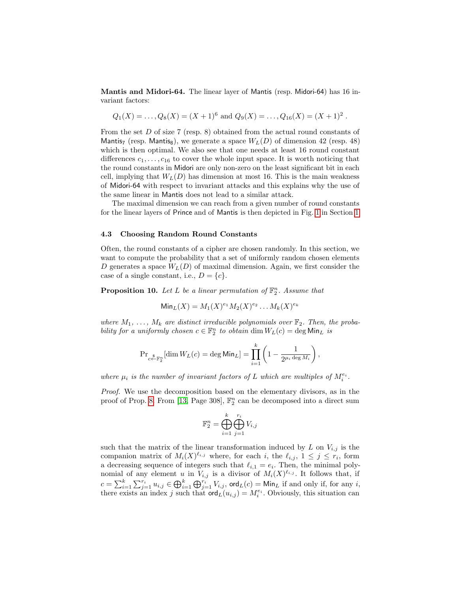Mantis and Midori-64. The linear layer of Mantis (resp. Midori-64) has 16 invariant factors:

$$
Q_1(X) = \dots, Q_8(X) = (X+1)^6
$$
 and  $Q_9(X) = \dots, Q_{16}(X) = (X+1)^2$ .

From the set D of size 7 (resp. 8) obtained from the actual round constants of Mantis<sub>7</sub> (resp. Mantis<sub>8</sub>), we generate a space  $W<sub>L</sub>(D)$  of dimension 42 (resp. 48) which is then optimal. We also see that one needs at least 16 round constant differences  $c_1, \ldots, c_{16}$  to cover the whole input space. It is worth noticing that the round constants in Midori are only non-zero on the least significant bit in each cell, implying that  $W_L(D)$  has dimension at most 16. This is the main weakness of Midori-64 with respect to invariant attacks and this explains why the use of the same linear in Mantis does not lead to a similar attack.

The maximal dimension we can reach from a given number of round constants for the linear layers of Prince and of Mantis is then depicted in Fig. 1 in Section 1.

#### 4.3 Choosing Random Round Constants

Often, the round constants of a cipher are chosen randomly. In this section, we want to compute the probability that a set of uniformly random chosen elements D generates a space  $W_L(D)$  of maximal dimension. Again, we first consider the case of a single constant, i.e.,  $D = \{c\}.$ 

**Proposition 10.** Let L be a linear permutation of  $\mathbb{F}_2^n$ . Assume that

Min<sub>L</sub>
$$
(X) = M_1(X)^{e_1} M_2(X)^{e_2} \dots M_k(X)^{e_k}
$$

where  $M_1, \ldots, M_k$  are distinct irreducible polynomials over  $\mathbb{F}_2$ . Then, the probability for a uniformly chosen  $c \in \mathbb{F}_2^n$  to obtain  $\dim W_L(c) = \deg \mathsf{Min}_L$  is

$$
\mathrm{Pr}_{c \leftarrow \mathbb{F}_2^n}[\dim W_L(c) = \deg \mathrm{Min}_L] = \prod_{i=1}^k \left(1 - \frac{1}{2^{\mu_i \deg M_i}}\right),
$$

where  $\mu_i$  is the number of invariant factors of L which are multiples of  $M_i^{e_i}$ .

Proof. We use the decomposition based on the elementary divisors, as in the proof of Prop. 8. From [13, Page 308],  $\mathbb{F}_2^n$  can be decomposed into a direct sum

$$
\mathbb{F}_2^n = \bigoplus_{i=1}^k \bigoplus_{j=1}^{r_i} V_{i,j}
$$

such that the matrix of the linear transformation induced by  $L$  on  $V_{i,j}$  is the companion matrix of  $M_i(X)^{\ell_{i,j}}$  where, for each i, the  $\ell_{i,j}$ ,  $1 \leq j \leq r_i$ , form a decreasing sequence of integers such that  $\ell_{i,1} = e_i$ . Then, the minimal polynomial of any element u in  $V_{i,j}$  is a divisor of  $M_i(X)^{\ell_{i,j}}$ . It follows that, if  $c = \sum_{i=1}^k \sum_{j=1}^{r_i} u_{i,j} \in \bigoplus_{i=1}^k \bigoplus_{j=1}^{r_i} V_{i,j}$ , ord $_L(c) = \mathsf{Min}_L$  if and only if, for any  $i$ , there exists an index j such that  $\text{ord}_L(u_{i,j}) = M_i^{e_i}$ . Obviously, this situation can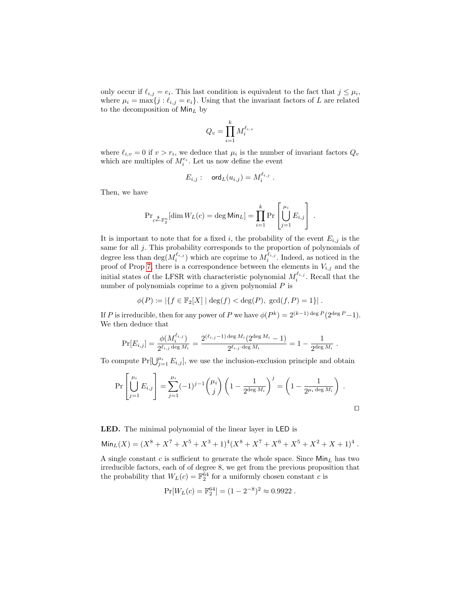only occur if  $\ell_{i,j} = e_i$ . This last condition is equivalent to the fact that  $j \leq \mu_i$ , where  $\mu_i = \max\{j : \ell_{i,j} = e_i\}$ . Using that the invariant factors of L are related to the decomposition of  $Min<sub>L</sub>$  by

$$
Q_v = \prod_{i=1}^k M_i^{\ell_{i,v}}
$$

where  $\ell_{i,v} = 0$  if  $v > r_i$ , we deduce that  $\mu_i$  is the number of invariant factors  $Q_v$ which are multiples of  $M_i^{e_i}$ . Let us now define the event

$$
E_{i,j}:\quad \text{ord}_L(u_{i,j})=M_i^{\ell_{i,j}}\ .
$$

Then, we have

$$
\mathrm{Pr}_{c \leftarrow \mathbb{F}_2^n}[\dim W_L(c) = \deg \mathrm{Min}_L] = \prod_{i=1}^k \mathrm{Pr}\left[\bigcup_{j=1}^{\mu_i} E_{i,j}\right].
$$

It is important to note that for a fixed i, the probability of the event  $E_{i,j}$  is the same for all j. This probability corresponds to the proportion of polynomials of degree less than  $\deg(M_i^{\ell_{i,j}})$  which are coprime to  $M_i^{\ell_{i,j}}$ . Indeed, as noticed in the proof of Prop 7, there is a correspondence between the elements in  $V_{i,j}$  and the initial states of the LFSR with characteristic polynomial  $M_i^{\ell_{i,j}}$ . Recall that the number of polynomials coprime to a given polynomial  $P$  is

$$
\phi(P) \coloneqq |\{f \in \mathbb{F}_2[X] \mid \deg(f) < \deg(P), \, \gcd(f, P) = 1\}|.
$$

If P is irreducible, then for any power of P we have  $\phi(P^k) = 2^{(k-1) \deg P} (2^{\deg P} - 1)$ . We then deduce that

$$
\Pr[E_{i,j}] = \frac{\phi(M_i^{\ell_{i,j}})}{2^{\ell_{i,j} \deg M_i}} = \frac{2^{(\ell_{i,j}-1) \deg M_i} (2^{\deg M_i} - 1)}{2^{\ell_{i,j} \cdot \deg M_i}} = 1 - \frac{1}{2^{\deg M_i}}.
$$

To compute  $Pr[\bigcup_{j=1}^{\mu_i} E_{i,j}]$ , we use the inclusion-exclusion principle and obtain

$$
\Pr\left[\bigcup_{j=1}^{\mu_i} E_{i,j}\right] = \sum_{j=1}^{\mu_i} (-1)^{j-1} {\mu_i \choose j} \left(1 - \frac{1}{2^{\deg M_i}}\right)^j = \left(1 - \frac{1}{2^{\mu_i \deg M_i}}\right).
$$

LED. The minimal polynomial of the linear layer in LED is

Min<sub>L</sub>
$$
(X) = (X^8 + X^7 + X^5 + X^3 + 1)^4 (X^8 + X^7 + X^6 + X^5 + X^2 + X + 1)^4
$$
.

A single constant c is sufficient to generate the whole space. Since  $\mathsf{Min}_L$  has two irreducible factors, each of of degree 8, we get from the previous proposition that the probability that  $W_L(c) = \mathbb{F}_2^{64}$  for a uniformly chosen constant c is

$$
Pr[W_L(c) = \mathbb{F}_2^{64}] = (1 - 2^{-8})^2 \approx 0.9922.
$$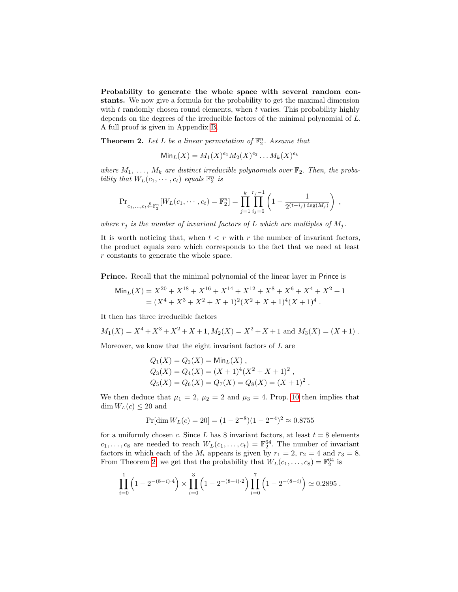Probability to generate the whole space with several random constants. We now give a formula for the probability to get the maximal dimension with  $t$  randomly chosen round elements, when  $t$  varies. This probability highly depends on the degrees of the irreducible factors of the minimal polynomial of L. A full proof is given in Appendix B.

**Theorem 2.** Let L be a linear permutation of  $\mathbb{F}_2^n$ . Assume that

 $\textsf{Min}_L(X) = M_1(X)^{e_1} M_2(X)^{e_2} \dots M_k(X)^{e_k}$ 

where  $M_1, \ldots, M_k$  are distinct irreducible polynomials over  $\mathbb{F}_2$ . Then, the probability that  $W_L(c_1, \dots, c_t)$  equals  $\mathbb{F}_2^n$  is

$$
\mathrm{Pr}_{c_1,\ldots,c_t \stackrel{\$}{\leftarrow} \mathbb{F}_2^n} [W_L(c_1,\cdots,c_t) = \mathbb{F}_2^n] = \prod_{j=1}^k \prod_{i_j=0}^{r_j-1} \left(1 - \frac{1}{2^{(t-i_j) \deg(M_j)}}\right) ,
$$

where  $r_j$  is the number of invariant factors of L which are multiples of  $M_j$ .

It is worth noticing that, when  $t < r$  with r the number of invariant factors, the product equals zero which corresponds to the fact that we need at least r constants to generate the whole space.

Prince. Recall that the minimal polynomial of the linear layer in Prince is

$$
\begin{aligned} \text{Min}_L(X) &= X^{20} + X^{18} + X^{16} + X^{14} + X^{12} + X^8 + X^6 + X^4 + X^2 + 1 \\ &= (X^4 + X^3 + X^2 + X + 1)^2 (X^2 + X + 1)^4 (X + 1)^4 \,. \end{aligned}
$$

It then has three irreducible factors

$$
M_1(X) = X^4 + X^3 + X^2 + X + 1, M_2(X) = X^2 + X + 1
$$
 and  $M_3(X) = (X + 1)$ .

Moreover, we know that the eight invariant factors of  $L$  are

$$
Q_1(X) = Q_2(X) = \text{Min}_L(X),
$$
  
\n
$$
Q_3(X) = Q_4(X) = (X+1)^4(X^2+X+1)^2,
$$
  
\n
$$
Q_5(X) = Q_6(X) = Q_7(X) = Q_8(X) = (X+1)^2.
$$

We then deduce that  $\mu_1 = 2$ ,  $\mu_2 = 2$  and  $\mu_3 = 4$ . Prop. 10 then implies that dim  $W_L(c) \leq 20$  and

$$
Pr[\dim W_L(c) = 20] = (1 - 2^{-8})(1 - 2^{-4})^2 \approx 0.8755
$$

for a uniformly chosen c. Since L has 8 invariant factors, at least  $t = 8$  elements  $c_1, \ldots, c_8$  are needed to reach  $W_L(c_1, \ldots, c_t) = \mathbb{F}_2^{64}$ . The number of invariant factors in which each of the  $M_i$  appears is given by  $r_1 = 2$ ,  $r_2 = 4$  and  $r_3 = 8$ . From Theorem 2, we get that the probability that  $W_L(c_1, \ldots, c_8) = \mathbb{F}_2^{64}$  is

$$
\prod_{i=0}^{1} \left(1 - 2^{-(8-i)\cdot 4}\right) \times \prod_{i=0}^{3} \left(1 - 2^{-(8-i)\cdot 2}\right) \prod_{i=0}^{7} \left(1 - 2^{-(8-i)}\right) \simeq 0.2895.
$$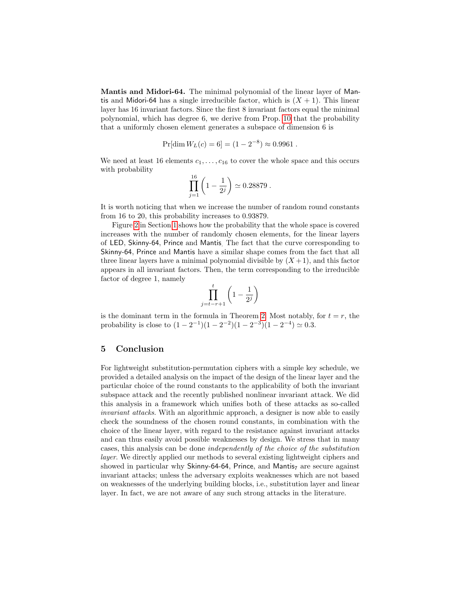Mantis and Midori-64. The minimal polynomial of the linear layer of Mantis and Midori-64 has a single irreducible factor, which is  $(X + 1)$ . This linear layer has 16 invariant factors. Since the first 8 invariant factors equal the minimal polynomial, which has degree 6, we derive from Prop. 10 that the probability that a uniformly chosen element generates a subspace of dimension 6 is

$$
Pr[\dim W_L(c) = 6] = (1 - 2^{-8}) \approx 0.9961.
$$

We need at least 16 elements  $c_1, \ldots, c_{16}$  to cover the whole space and this occurs with probability

$$
\prod_{j=1}^{16} \left( 1 - \frac{1}{2^j} \right) \simeq 0.28879 .
$$

It is worth noticing that when we increase the number of random round constants from 16 to 20, this probability increases to 0.93879.

Figure 2 in Section 1 shows how the probability that the whole space is covered increases with the number of randomly chosen elements, for the linear layers of LED, Skinny-64, Prince and Mantis. The fact that the curve corresponding to Skinny-64, Prince and Mantis have a similar shape comes from the fact that all three linear layers have a minimal polynomial divisible by  $(X + 1)$ , and this factor appears in all invariant factors. Then, the term corresponding to the irreducible factor of degree 1, namely

$$
\prod_{j=t-r+1}^{t} \left(1 - \frac{1}{2^j}\right)
$$

is the dominant term in the formula in Theorem 2. Most notably, for  $t = r$ , the probability is close to  $(1-2^{-1})(1-2^{-2})(1-2^{-3})(1-2^{-4}) \simeq 0.3$ .

# 5 Conclusion

For lightweight substitution-permutation ciphers with a simple key schedule, we provided a detailed analysis on the impact of the design of the linear layer and the particular choice of the round constants to the applicability of both the invariant subspace attack and the recently published nonlinear invariant attack. We did this analysis in a framework which unifies both of these attacks as so-called invariant attacks. With an algorithmic approach, a designer is now able to easily check the soundness of the chosen round constants, in combination with the choice of the linear layer, with regard to the resistance against invariant attacks and can thus easily avoid possible weaknesses by design. We stress that in many cases, this analysis can be done independently of the choice of the substitution layer. We directly applied our methods to several existing lightweight ciphers and showed in particular why Skinny-64-64, Prince, and Mantis<sub>7</sub> are secure against invariant attacks; unless the adversary exploits weaknesses which are not based on weaknesses of the underlying building blocks, i.e., substitution layer and linear layer. In fact, we are not aware of any such strong attacks in the literature.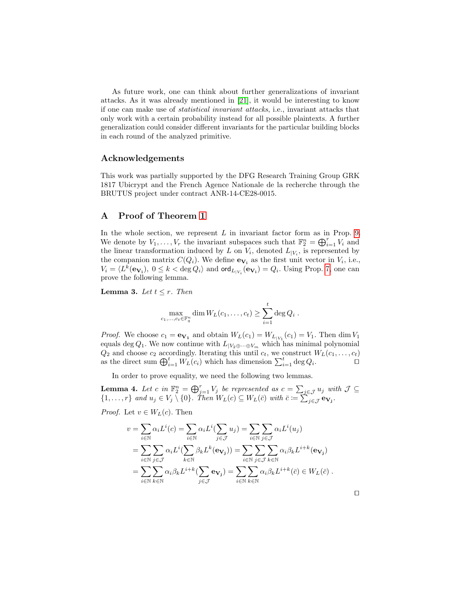As future work, one can think about further generalizations of invariant attacks. As it was already mentioned in [21], it would be interesting to know if one can make use of statistical invariant attacks, i.e., invariant attacks that only work with a certain probability instead for all possible plaintexts. A further generalization could consider different invariants for the particular building blocks in each round of the analyzed primitive.

### Acknowledgements

This work was partially supported by the DFG Research Training Group GRK 1817 Ubicrypt and the French Agence Nationale de la recherche through the BRUTUS project under contract ANR-14-CE28-0015.

# A Proof of Theorem 1

In the whole section, we represent  $L$  in invariant factor form as in Prop. 9. We denote by  $V_1, \ldots, V_r$  the invariant subspaces such that  $\mathbb{F}_2^n = \bigoplus_{i=1}^r V_i$  and the linear transformation induced by L on  $V_i$ , denoted  $L_{|V_i}$ , is represented by the companion matrix  $C(Q_i)$ . We define  $\mathbf{e}_{\mathbf{V_i}}$  as the first unit vector in  $V_i$ , i.e.,  $V_i = \langle L^k(\mathbf{e}_{\mathbf{V_i}}), 0 \le k < \deg Q_i \rangle$  and  $\text{ord}_{L_{|V_i}}(\mathbf{e}_{\mathbf{V_i}}) = Q_i$ . Using Prop. 7, one can prove the following lemma.

**Lemma 3.** Let  $t \leq r$ . Then

$$
\max_{c_1,\ldots,c_t\in\mathbb{F}_q^n} \dim W_L(c_1,\ldots,c_t) \geq \sum_{i=1}^t \deg Q_i.
$$

*Proof.* We choose  $c_1 = \mathbf{e}_{\mathbf{V}_1}$  and obtain  $W_L(c_1) = W_{L_{|V_1}}(c_1) = V_1$ . Then dim  $V_1$ equals deg Q<sub>1</sub>. We now continue with  $L_{|V_2\oplus\cdots\oplus V_m}$  which has minimal polynomial  $Q_2$  and choose  $c_2$  accordingly. Iterating this until  $c_t$ , we construct  $W_L(c_1, \ldots, c_t)$ as the direct sum  $\bigoplus_{i=1}^t W_L(c_i)$  which has dimension  $\sum_{i=1}^t \deg Q_i$  $\Box$ 

In order to prove equality, we need the following two lemmas.

**Lemma 4.** Let c in  $\mathbb{F}_2^n = \bigoplus_{j=1}^r V_j$  be represented as  $c = \sum_{j \in \mathcal{J}} u_j$  with  $\mathcal{J} \subseteq$  $\{1,\ldots,r\}$  and  $u_j \in V_j \setminus \{0\}$ . Then  $W_L(c) \subseteq W_L(\bar{c})$  with  $\bar{c} := \sum_{j \in \mathcal{J}} \mathbf{e}_{\mathbf{V}_j}$ .

*Proof.* Let  $v \in W_L(c)$ . Then

$$
v = \sum_{i \in \mathbb{N}} \alpha_i L^i(c) = \sum_{i \in \mathbb{N}} \alpha_i L^i(\sum_{j \in \mathcal{J}} u_j) = \sum_{i \in \mathbb{N}} \sum_{j \in \mathcal{J}} \alpha_i L^i(u_j)
$$
  
= 
$$
\sum_{i \in \mathbb{N}} \sum_{j \in \mathcal{J}} \alpha_i L^i(\sum_{k \in \mathbb{N}} \beta_k L^k(\mathbf{e}_{\mathbf{V}_j})) = \sum_{i \in \mathbb{N}} \sum_{j \in \mathcal{J}} \sum_{k \in \mathbb{N}} \alpha_i \beta_k L^{i+k}(\mathbf{e}_{\mathbf{V}_j})
$$
  
= 
$$
\sum_{i \in \mathbb{N}} \sum_{k \in \mathbb{N}} \alpha_i \beta_k L^{i+k}(\sum_{j \in \mathcal{J}} \mathbf{e}_{\mathbf{V}_j}) = \sum_{i \in \mathbb{N}} \sum_{k \in \mathbb{N}} \alpha_i \beta_k L^{i+k}(\bar{c}) \in W_L(\bar{c}).
$$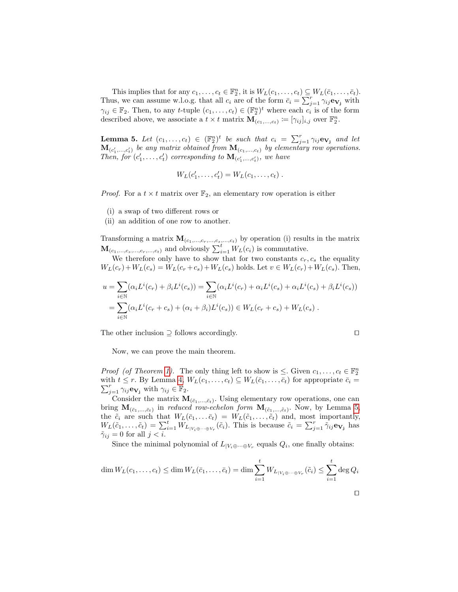This implies that for any  $c_1, \ldots, c_t \in \mathbb{F}_2^n$ , it is  $W_L(c_1, \ldots, c_t) \subseteq W_L(\bar{c}_1, \ldots, \bar{c}_t)$ . Thus, we can assume w.l.o.g. that all  $c_i$  are of the form  $\bar{c}_i = \sum_{j=1}^r \gamma_{ij} \mathbf{e}_{\mathbf{V}_j}$  with  $\gamma_{ij} \in \mathbb{F}_2$ . Then, to any t-tuple  $(c_1, \ldots, c_t) \in (\mathbb{F}_2^n)^t$  where each  $c_i$  is of the form described above, we associate a  $t \times t$  matrix  $\mathbf{M}_{(c_1,...,c_t)} := [\gamma_{ij}]_{i,j}$  over  $\mathbb{F}_2^n$ .

**Lemma 5.** Let  $(c_1, \ldots, c_t) \in (\mathbb{F}_2^n)^t$  be such that  $c_i = \sum_{j=1}^r \gamma_{ij} \mathbf{e}_{\mathbf{V}_j}$  and let  $\mathbf{M}_{(c_1,...,c_t)}$  be any matrix obtained from  $\mathbf{M}_{(c_1,...,c_t)}$  by elementary row operations. Then, for  $(c'_1, \ldots, c'_t)$  corresponding to  $\mathbf{M}_{(c'_1, \ldots, c'_t)}$ , we have

$$
W_L(c'_1,\ldots,c'_t)=W_L(c_1,\ldots,c_t).
$$

*Proof.* For a  $t \times t$  matrix over  $\mathbb{F}_2$ , an elementary row operation is either

- (i) a swap of two different rows or
- (ii) an addition of one row to another.

Transforming a matrix  $\mathbf{M}_{(c_1,...,c_r,...,c_s,...,c_t)}$  by operation (i) results in the matrix  $\mathbf{M}_{(c_1,...,c_s,...,c_r,...,c_t)}$  and obviously  $\sum_{i=1}^t W_L(c_i)$  is commutative.

We therefore only have to show that for two constants  $c_r, c_s$  the equality  $W_L(c_r) + W_L(c_s) = W_L(c_r + c_s) + W_L(c_s)$  holds. Let  $v \in W_L(c_r) + W_L(c_s)$ . Then,

$$
u = \sum_{i \in \mathbb{N}} (\alpha_i L^i(c_r) + \beta_i L^i(c_s)) = \sum_{i \in \mathbb{N}} (\alpha_i L^i(c_r) + \alpha_i L^i(c_s) + \alpha_i L^i(c_s) + \beta_i L^i(c_s))
$$
  
= 
$$
\sum_{i \in \mathbb{N}} (\alpha_i L^i(c_r + c_s) + (\alpha_i + \beta_i)L^i(c_s)) \in W_L(c_r + c_s) + W_L(c_s).
$$

The other inclusion  $\supseteq$  follows accordingly.  $\Box$ 

Now, we can prove the main theorem.

*Proof (of Theorem 1)*. The only thing left to show is  $\leq$ . Given  $c_1, \ldots, c_t \in \mathbb{F}_2^n$ with  $t \leq r$ . By Lemma 4,  $W_L(c_1, \ldots, c_t) \subseteq W_L(\bar{c}_1, \ldots, \bar{c}_t)$  for appropriate  $\bar{c}_i =$  $\sum_{j=1}^r \gamma_{ij} \mathbf{e}_{\mathbf{V_j}}$  with  $\gamma_{ij} \in \mathbb{F}_2$ .

Consider the matrix  $\mathbf{M}_{(\bar{c}_1,\ldots,\bar{c}_t)}$ . Using elementary row operations, one can bring  $\mathbf{M}_{(\bar{c}_1,...,\bar{c}_t)}$  in reduced row-echelon form  $\mathbf{M}_{(\tilde{c}_1,...,\tilde{c}_t)}$ . Now, by Lemma 5, the  $\tilde{c}_i$  are such that  $W_L(\bar{c}_1, \ldots, \bar{c}_t) = W_L(\tilde{c}_1, \ldots, \tilde{c}_t)$  and, most importantly,  $W_L(\tilde{c}_1,\ldots,\tilde{c}_t) = \sum_{i=1}^t W_{L|_{V_i\oplus\cdots\oplus V_r}}(\tilde{c}_i)$ . This is because  $\tilde{c}_i = \sum_{j=1}^r \tilde{\gamma}_{ij} \mathbf{e}_{\mathbf{V}_j}$  has  $\tilde{\gamma}_{ij} = 0$  for all  $j < i$ .

Since the minimal polynomial of  $L_{|V_i \oplus \cdots \oplus V_r}$  equals  $Q_i$ , one finally obtains:

$$
\dim W_L(c_1,\ldots,c_t) \le \dim W_L(\bar{c}_1,\ldots,\bar{c}_t) = \dim \sum_{i=1}^t W_{L_{|V_i\oplus\cdots\oplus V_r}}(\tilde{c}_i) \le \sum_{i=1}^t \deg Q_i
$$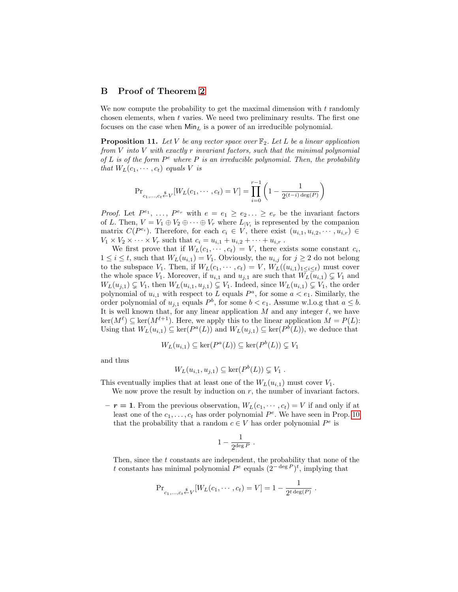## B Proof of Theorem 2

We now compute the probability to get the maximal dimension with  $t$  randomly chosen elements, when  $t$  varies. We need two preliminary results. The first one focuses on the case when  $\text{Min}_L$  is a power of an irreducible polynomial.

**Proposition 11.** Let V be any vector space over  $\mathbb{F}_2$ . Let L be a linear application from  $V$  into  $V$  with exactly  $r$  invariant factors, such that the minimal polynomial of L is of the form  $P^e$  where P is an irreducible polynomial. Then, the probability that  $W_L(c_1, \dots, c_t)$  equals V is

$$
Pr_{c_1,...,c_t \stackrel{s}{\leftarrow} V}[W_L(c_1, \cdots, c_t) = V] = \prod_{i=0}^{r-1} \left(1 - \frac{1}{2^{(t-i)\deg(P)}}\right)
$$

*Proof.* Let  $P^{e_1}, \ldots, P^{e_r}$  with  $e = e_1 \geq e_2 \ldots \geq e_r$  be the invariant factors of L. Then,  $V = V_1 \oplus V_2 \oplus \cdots \oplus V_r$  where  $L_{|V_i|}$  is represented by the companion matrix  $C(P^{e_i})$ . Therefore, for each  $c_i \in V$ , there exist  $(u_{i,1}, u_{i,2}, \dots, u_{i,r}) \in$  $V_1 \times V_2 \times \cdots \times V_r$  such that  $c_i = u_{i,1} + u_{i,2} + \cdots + u_{i,r}$ .

We first prove that if  $W_L(c_1, \dots, c_t) = V$ , there exists some constant  $c_i$ ,  $1 \leq i \leq t$ , such that  $W_L(u_{i,1}) = V_1$ . Obviously, the  $u_{i,j}$  for  $j \geq 2$  do not belong to the subspace  $V_1$ . Then, if  $W_L(c_1, \dots, c_t) = V$ ,  $W_L((u_{i,1})_{1 \leq i \leq t})$  must cover the whole space  $V_1$ . Moreover, if  $u_{i,1}$  and  $u_{j,1}$  are such that  $W_L(u_{i,1}) \subsetneq V_1$  and  $W_L(u_{j,1}) \subsetneq V_1$ , then  $W_L(u_{i,1}, u_{j,1}) \subsetneq V_1$ . Indeed, since  $W_L(u_{i,1}) \subsetneq V_1$ , the order polynomial of  $u_{i,1}$  with respect to L equals  $P^a$ , for some  $a < e_1$ . Similarly, the order polynomial of  $u_{j,1}$  equals  $P^b$ , for some  $b < e_1$ . Assume w.l.o.g that  $a \leq b$ . It is well known that, for any linear application  $M$  and any integer  $\ell$ , we have  $\ker(M^{\ell}) \subseteq \ker(M^{\ell+1})$ . Here, we apply this to the linear application  $M = P(L)$ : Using that  $W_L(u_{i,1}) \subseteq \text{ker}(P^a(L))$  and  $W_L(u_{j,1}) \subseteq \text{ker}(P^b(L))$ , we deduce that

$$
W_L(u_{i,1}) \subseteq \ker(P^a(L)) \subseteq \ker(P^b(L)) \subsetneq V_1
$$

and thus

$$
W_L(u_{i,1}, u_{j,1}) \subseteq \ker(P^b(L)) \subsetneq V_1
$$
.

This eventually implies that at least one of the  $W_L(u_{i,1})$  must cover  $V_1$ .

We now prove the result by induction on  $r$ , the number of invariant factors.

 $r = r = 1$ . From the previous observation,  $W_L(c_1, \dots, c_t) = V$  if and only if at least one of the  $c_1, \ldots, c_t$  has order polynomial  $P^e$ . We have seen in Prop. 10 that the probability that a random  $c \in V$  has order polynomial  $P^e$  is

$$
1-\frac{1}{2^{\deg P}}\;.
$$

Then, since the t constants are independent, the probability that none of the t constants has minimal polynomial  $P^e$  equals  $(2^{- \deg P})^t$ , implying that

$$
\Pr_{c_1,\ldots,c_t \stackrel{\$}{\sim} V}[W_L(c_1,\cdots,c_t) = V] = 1 - \frac{1}{2^{t \deg(P)}}.
$$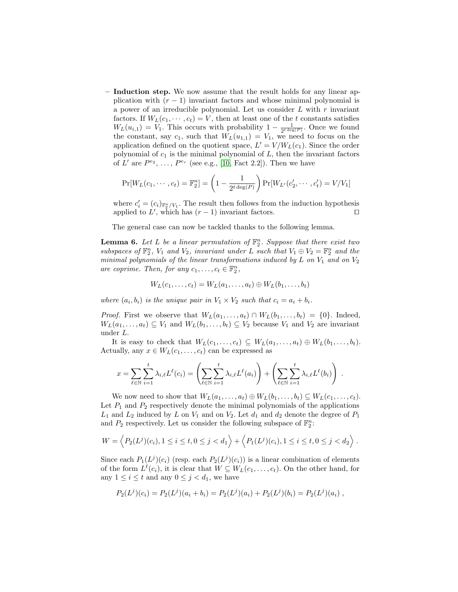– Induction step. We now assume that the result holds for any linear application with  $(r - 1)$  invariant factors and whose minimal polynomial is a power of an irreducible polynomial. Let us consider  $L$  with  $r$  invariant factors. If  $W_L(c_1, \dots, c_t) = V$ , then at least one of the t constants satisfies  $W_L(u_{i,1}) = V_1$ . This occurs with probability  $1 - \frac{1}{2^{t \deg(P)}}$ . Once we found the constant, say  $c_1$ , such that  $W_L(u_{1,1}) = V_1$ , we need to focus on the application defined on the quotient space,  $L' = V/W_L(c_1)$ . Since the order polynomial of  $c_1$  is the minimal polynomial of  $L$ , then the invariant factors of L' are  $P^{e_2}, \ldots, P^{e_r}$  (see e.g., [10, Fact 2.2]). Then we have

$$
\Pr[W_L(c_1, \dots, c_t) = \mathbb{F}_2^n] = \left(1 - \frac{1}{2^{t \deg(P)}}\right) \Pr[W_{L'}(c'_2, \dots, c'_t) = V/V_1]
$$

where  $c_i' = (c_i)_{\mathbb{F}_2^n/V_1}$ . The result then follows from the induction hypothesis applied to L', which has  $(r-1)$  invariant factors.

The general case can now be tackled thanks to the following lemma.

**Lemma 6.** Let L be a linear permutation of  $\mathbb{F}_2^n$ . Suppose that there exist two subspaces of  $\mathbb{F}_2^n$ ,  $V_1$  and  $V_2$ , invariant under L such that  $V_1 \oplus V_2 = \mathbb{F}_2^n$  and the minimal polynomials of the linear transformations induced by L on  $V_1$  and on  $V_2$ are coprime. Then, for any  $c_1, \ldots, c_t \in \mathbb{F}_2^n$ ,

$$
W_L(c_1,\ldots,c_t) = W_L(a_1,\ldots,a_t) \oplus W_L(b_1,\ldots,b_t)
$$

where  $(a_i, b_i)$  is the unique pair in  $V_1 \times V_2$  such that  $c_i = a_i + b_i$ .

*Proof.* First we observe that  $W_L(a_1, \ldots, a_t) \cap W_L(b_1, \ldots, b_t) = \{0\}$ . Indeed,  $W_L(a_1, \ldots, a_t) \subseteq V_1$  and  $W_L(b_1, \ldots, b_t) \subseteq V_2$  because  $V_1$  and  $V_2$  are invariant under L.

It is easy to check that  $W_L(c_1, \ldots, c_t) \subseteq W_L(a_1, \ldots, a_t) \oplus W_L(b_1, \ldots, b_t)$ . Actually, any  $x \in W_L(c_1, \ldots, c_t)$  can be expressed as

$$
x = \sum_{\ell \in \mathbb{N}} \sum_{i=1}^t \lambda_{i,\ell} L^{\ell}(c_i) = \left( \sum_{\ell \in \mathbb{N}} \sum_{i=1}^t \lambda_{i,\ell} L^{\ell}(a_i) \right) + \left( \sum_{\ell \in \mathbb{N}} \sum_{i=1}^t \lambda_{i,\ell} L^{\ell}(b_i) \right).
$$

We now need to show that  $W_L(a_1, \ldots, a_t) \oplus W_L(b_1, \ldots, b_t) \subseteq W_L(c_1, \ldots, c_t)$ . Let  $P_1$  and  $P_2$  respectively denote the minimal polynomials of the applications  $L_1$  and  $L_2$  induced by  $L$  on  $V_1$  and on  $V_2$ . Let  $d_1$  and  $d_2$  denote the degree of  $P_1$ and  $P_2$  respectively. Let us consider the following subspace of  $\mathbb{F}_2^n$ :

$$
W = \left\langle P_2(L^j)(c_i), 1 \le i \le t, 0 \le j < d_1 \right\rangle + \left\langle P_1(L^j)(c_i), 1 \le i \le t, 0 \le j < d_2 \right\rangle.
$$

Since each  $P_1(L^j)(c_i)$  (resp. each  $P_2(L^j)(c_i)$ ) is a linear combination of elements of the form  $L^{\ell}(c_i)$ , it is clear that  $W \subseteq W_L(c_1,\ldots,c_t)$ . On the other hand, for any  $1 \leq i \leq t$  and any  $0 \leq j < d_1$ , we have

$$
P_2(L^j)(c_i) = P_2(L^j)(a_i + b_i) = P_2(L^j)(a_i) + P_2(L^j)(b_i) = P_2(L^j)(a_i) ,
$$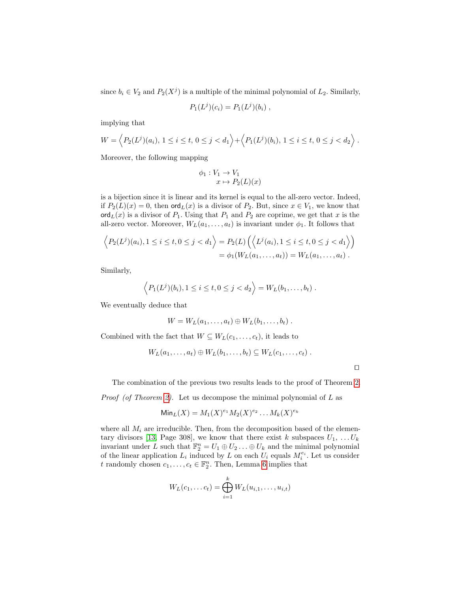since  $b_i \in V_2$  and  $P_2(X^j)$  is a multiple of the minimal polynomial of  $L_2$ . Similarly,

$$
P_1(L^j)(c_i) = P_1(L^j)(b_i) ,
$$

implying that

$$
W = \left\langle P_2(L^j)(a_i), \ 1 \le i \le t, \ 0 \le j < d_1 \right\rangle + \left\langle P_1(L^j)(b_i), \ 1 \le i \le t, \ 0 \le j < d_2 \right\rangle.
$$

Moreover, the following mapping

$$
\begin{aligned}\n\phi_1: V_1 &\to V_1 \\
x &\mapsto P_2(L)(x)\n\end{aligned}
$$

is a bijection since it is linear and its kernel is equal to the all-zero vector. Indeed, if  $P_2(L)(x) = 0$ , then  $\text{ord}_L(x)$  is a divisor of  $P_2$ . But, since  $x \in V_1$ , we know that  $\text{ord}_L(x)$  is a divisor of  $P_1$ . Using that  $P_1$  and  $P_2$  are coprime, we get that x is the all-zero vector. Moreover,  $W_L(a_1, \ldots, a_t)$  is invariant under  $\phi_1$ . It follows that

$$
\left\langle P_2(L^j)(a_i), 1 \le i \le t, 0 \le j < d_1 \right\rangle = P_2(L) \left( \left\langle L^j(a_i), 1 \le i \le t, 0 \le j < d_1 \right\rangle \right) \\ = \phi_1(W_L(a_1, \dots, a_t)) = W_L(a_1, \dots, a_t) \, .
$$

Similarly,

$$
\langle P_1(L^j)(b_i), 1 \le i \le t, 0 \le j < d_2 \rangle = W_L(b_1, ..., b_t).
$$

We eventually deduce that

$$
W=W_L(a_1,\ldots,a_t)\oplus W_L(b_1,\ldots,b_t).
$$

Combined with the fact that  $W \subseteq W_L(c_1, \ldots, c_t)$ , it leads to

$$
W_L(a_1,\ldots,a_t)\oplus W_L(b_1,\ldots,b_t)\subseteq W_L(c_1,\ldots,c_t).
$$

 $\Box$ 

The combination of the previous two results leads to the proof of Theorem 2.

*Proof (of Theorem 2).* Let us decompose the minimal polynomial of  $L$  as

$$
Min_L(X) = M_1(X)^{e_1} M_2(X)^{e_2} \dots M_k(X)^{e_k}
$$

where all  $M_i$  are irreducible. Then, from the decomposition based of the elementary divisors [13, Page 308], we know that there exist k subspaces  $U_1, \ldots U_k$ invariant under L such that  $\mathbb{F}_2^n = U_1 \oplus U_2 \ldots \oplus U_k$  and the minimal polynomial of the linear application  $L_i$  induced by L on each  $U_i$  equals  $M_i^{e_i}$ . Let us consider t randomly chosen  $c_1, \ldots, c_t \in \mathbb{F}_2^n$ . Then, Lemma 6 implies that

$$
W_L(c_1, \ldots c_t) = \bigoplus_{i=1}^k W_L(u_{i,1}, \ldots, u_{i,t})
$$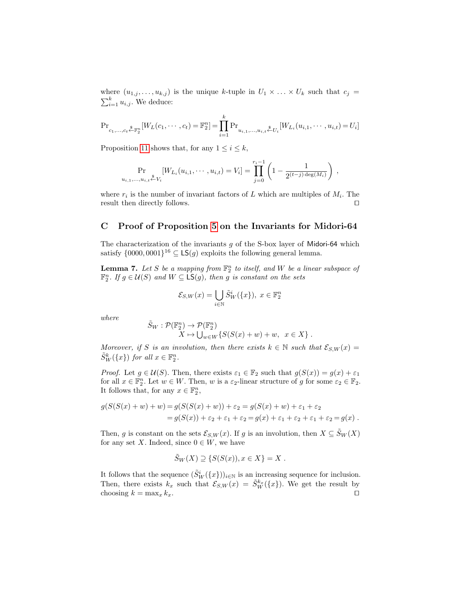where  $(u_{1,j}, \ldots, u_{k,j})$  is the unique k-tuple in  $U_1 \times \ldots \times U_k$  such that  $c_j =$  $\sum_{i=1}^{k} u_{i,j}$ . We deduce:

$$
\mathrm{Pr}_{c_1,\ldots,c_t\leftarrow \mathbb{F}_2^n}[W_L(c_1,\cdots,c_t)=\mathbb{F}_2^n]=\prod_{i=1}^k \mathrm{Pr}_{u_{i,1},\ldots,u_{i,t}\leftarrow U_i}[W_{L_i}(u_{i,1},\cdots,u_{i,t})=U_i]
$$

Proposition 11 shows that, for any  $1 \leq i \leq k$ ,

$$
\Pr_{u_{i,1},...,u_{i,t} \stackrel{\$}{\leftarrow} V_i} [W_{L_i}(u_{i,1},...,u_{i,t}) = V_i] = \prod_{j=0}^{r_i-1} \left(1 - \frac{1}{2^{(t-j)\deg(M_i)}}\right) ,
$$

where  $r_i$  is the number of invariant factors of L which are multiples of  $M_i$ . The result then directly follows.  $\Box$ 

# C Proof of Proposition 5 on the Invariants for Midori-64

The characterization of the invariants q of the S-box layer of Midori-64 which satisfy  $\{0000, 0001\}^{16} \subseteq LS(g)$  exploits the following general lemma.

**Lemma 7.** Let S be a mapping from  $\mathbb{F}_2^n$  to itself, and W be a linear subspace of  $\mathbb{F}_2^n$ . If  $g \in \mathcal{U}(S)$  and  $W \subseteq \mathsf{LS}(g)$ , then  $g$  is constant on the sets

$$
\mathcal{E}_{S,W}(x) = \bigcup_{i \in \mathbb{N}} \tilde{S}_W^i(\{x\}), \ x \in \mathbb{F}_2^n
$$

where

$$
\widetilde{S}_W : \mathcal{P}(\mathbb{F}_2^n) \to \mathcal{P}(\mathbb{F}_2^n) X \mapsto \bigcup_{w \in W} \{ S(S(x) + w) + w, \ x \in X \} .
$$

Moreover, if S is an involution, then there exists  $k \in \mathbb{N}$  such that  $\mathcal{E}_{S,W}(x) =$  $\tilde{S}_W^k(\lbrace x \rbrace)$  for all  $x \in \mathbb{F}_2^n$ .

*Proof.* Let  $g \in \mathcal{U}(S)$ . Then, there exists  $\varepsilon_1 \in \mathbb{F}_2$  such that  $g(S(x)) = g(x) + \varepsilon_1$ for all  $x \in \mathbb{F}_2^n$ . Let  $w \in W$ . Then, w is a  $\varepsilon_2$ -linear structure of g for some  $\varepsilon_2 \in \mathbb{F}_2$ . It follows that, for any  $x \in \mathbb{F}_2^n$ ,

$$
g(S(S(x) + w) + w) = g(S(S(x) + w)) + \varepsilon_2 = g(S(x) + w) + \varepsilon_1 + \varepsilon_2 = g(S(x)) + \varepsilon_2 + \varepsilon_1 + \varepsilon_2 = g(x) + \varepsilon_1 + \varepsilon_2 + \varepsilon_1 + \varepsilon_2 = g(x).
$$

Then, g is constant on the sets  $\mathcal{E}_{S,W}(x)$ . If g is an involution, then  $X \subseteq \tilde{S}_W(X)$ for any set X. Indeed, since  $0 \in W$ , we have

$$
\tilde{S}_W(X) \supseteq \{S(S(x)), x \in X\} = X.
$$

It follows that the sequence  $(\tilde{S}_W^i({x}))_{i\in\mathbb{N}}$  is an increasing sequence for inclusion. Then, there exists  $k_x$  such that  $\mathcal{E}_{S,W}(x) = \tilde{S}_W^{k_x}(\{x\})$ . We get the result by choosing  $k = \max_x k_x$ .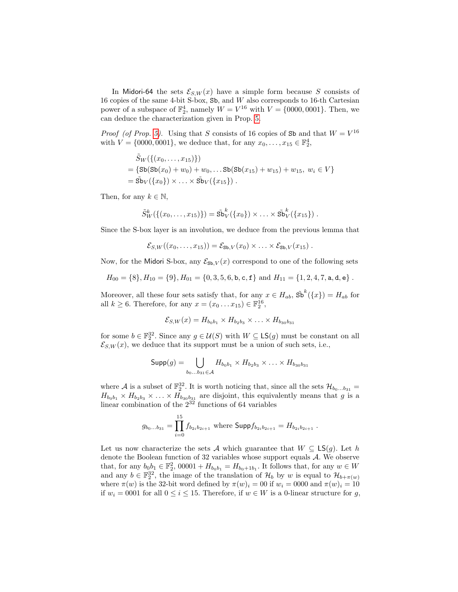In Midori-64 the sets  $\mathcal{E}_{S,W}(x)$  have a simple form because S consists of 16 copies of the same 4-bit S-box,  $Sb$ , and  $W$  also corresponds to 16-th Cartesian power of a subspace of  $\mathbb{F}_2^4$ , namely  $W = V^{16}$  with  $V = \{0000, 0001\}$ . Then, we can deduce the characterization given in Prop. 5.

*Proof (of Prop. 5).* Using that S consists of 16 copies of Sb and that  $W = V^{16}$ with  $V = \{0000, 0001\}$ , we deduce that, for any  $x_0, ..., x_{15} \in \mathbb{F}_2^4$ ,

$$
\tilde{S}_W(\{(x_0, \ldots, x_{15})\})
$$
\n= {Sb(Sb(x<sub>0</sub>) + w<sub>0</sub>) + w<sub>0</sub>, ... Sb(Sb(x<sub>15</sub>) + w<sub>15</sub>) + w<sub>15</sub>, w<sub>i</sub>  $\in V$ }  
\n=  $\tilde{S}_{V}(\{x_0\}) \times \ldots \times \tilde{S}_{V}(\{x_{15}\})$ .

Then, for any  $k \in \mathbb{N}$ ,

$$
\tilde{S}_{W}^{k}(\{(x_0,\ldots,x_{15})\})=\tilde{\text{Sb}}_{V}^{k}(\{x_0\})\times\ldots\times\tilde{\text{Sb}}_{V}^{k}(\{x_{15}\})\ .
$$

Since the S-box layer is an involution, we deduce from the previous lemma that

$$
\mathcal{E}_{S,W}((x_0,\ldots,x_{15}))=\mathcal{E}_{\mathsf{Sb},V}(x_0)\times\ldots\times\mathcal{E}_{\mathsf{Sb},V}(x_{15}).
$$

Now, for the Midori S-box, any  $\mathcal{E}_{\text{Sb},V}(x)$  correspond to one of the following sets

$$
H_{00} = \{8\}, H_{10} = \{9\}, H_{01} = \{0, 3, 5, 6, \mathsf{b}, \mathsf{c}, \mathsf{f}\} \text{ and } H_{11} = \{1, 2, 4, 7, \mathsf{a}, \mathsf{d}, \mathsf{e}\}.
$$

Moreover, all these four sets satisfy that, for any  $x \in H_{ab}$ ,  $\tilde{\text{Sb}}^k(\lbrace x \rbrace) = H_{ab}$  for all  $k \ge 6$ . Therefore, for any  $x = (x_0 ... x_{15}) \in \mathbb{F}_2^{16}$ ,

$$
\mathcal{E}_{S,W}(x) = H_{b_0b_1} \times H_{b_2b_3} \times \ldots \times H_{b_{30}b_{31}}
$$

for some  $b \in \mathbb{F}_2^{32}$ . Since any  $g \in \mathcal{U}(S)$  with  $W \subseteq \mathsf{LS}(g)$  must be constant on all  $\mathcal{E}_{S,W}(x)$ , we deduce that its support must be a union of such sets, i.e.,

$$
\mathsf{Supp}(g) = \bigcup_{b_0...b_{31} \in \mathcal{A}} H_{b_0b_1} \times H_{b_2b_3} \times ... \times H_{b_{30}b_{31}}
$$

where A is a subset of  $\mathbb{F}_2^{32}$ . It is worth noticing that, since all the sets  $\mathcal{H}_{b_0...b_{31}} =$  $H_{b_0b_1} \times H_{b_2b_3} \times \ldots \times H_{b_{30}b_{31}}$  are disjoint, this equivalently means that g is a linear combination of the  $2^{32}$  functions of 64 variables

$$
g_{b_0...b_{31}} = \prod_{i=0}^{15} f_{b_{2i}b_{2i+1}}
$$
 where  $Supp f_{b_{2i}b_{2i+1}} = H_{b_{2i}b_{2i+1}}$ .

Let us now characterize the sets A which guarantee that  $W \subseteq \mathsf{LS}(g)$ . Let h denote the Boolean function of 32 variables whose support equals A. We observe that, for any  $b_0b_1 \in \mathbb{F}_2^2$ ,  $00001 + H_{b_0b_1} = H_{b_0+1b_1}$ . It follows that, for any  $w \in W$ and any  $b \in \mathbb{F}_2^{32}$ , the image of the translation of  $\mathcal{H}_b$  by w is equal to  $\mathcal{H}_{b+\pi(w)}$ where  $\pi(w)$  is the 32-bit word defined by  $\pi(w)_i = 00$  if  $w_i = 0000$  and  $\pi(w)_i = 10$ if  $w_i = 0001$  for all  $0 \le i \le 15$ . Therefore, if  $w \in W$  is a 0-linear structure for g,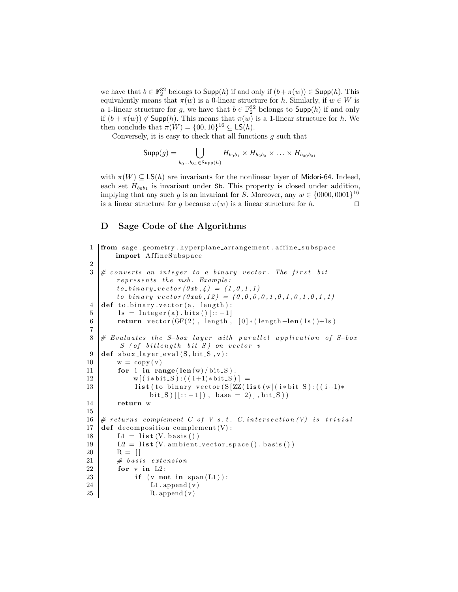we have that  $b \in \mathbb{F}_2^{32}$  belongs to  $\mathsf{Supp}(h)$  if and only if  $(b+\pi(w)) \in \mathsf{Supp}(h)$ . This equivalently means that  $\pi(w)$  is a 0-linear structure for h. Similarly, if  $w \in W$  is a 1-linear structure for g, we have that  $b \in \mathbb{F}_2^{32}$  belongs to  $\mathsf{Supp}(h)$  if and only if  $(b + \pi(w)) \notin \text{Supp}(h)$ . This means that  $\pi(w)$  is a 1-linear structure for h. We then conclude that  $\pi(W) = \{00, 10\}^{16} \subseteq \text{LS}(h)$ .

Conversely, it is easy to check that all functions  $g$  such that

$$
\mathsf{Supp}(g) = \bigcup_{b_0...b_{31} \in \mathsf{Supp}(h)} H_{b_0b_1} \times H_{b_2b_3} \times \ldots \times H_{b_{30}b_{31}}
$$

with  $\pi(W) \subseteq \textsf{LS}(h)$  are invariants for the nonlinear layer of Midori-64. Indeed, each set  $H_{b_0b_1}$  is invariant under Sb. This property is closed under addition, implying that any such g is an invariant for S. Moreover, any  $w \in \{0000, 0001\}^{16}$ is a linear structure for g because  $\pi(w)$  is a linear structure for h.

# D Sage Code of the Algorithms

```
1 from sage geometry . hyperplane_arrangement . affine_subspace
       import AffineSubspace
2
3 \# converts an integer to a binary vector. The first bit
        represents the msb. Example:
        to\_binary\_vector(0xb, 4) = (1, 0, 1, 1)to\_binary\_vector(0 xab, 12) = (0, 0, 0, 0, 1, 0, 1, 0, 1, 0, 1, 1)4 \vert \text{def to\_binary\_vector(a, length)}:
5 | ls = Integer (a). bits () [::-1]6 return vector (GF(2), \text{ length}, [0] * (\text{length}-\text{len}(1s)) + \text{ls})7
8 # Evaluates the S−box layer with parallel application of S-box
        S ( of bitlength bit S ) on vector v
9 \text{ def }sbox_layer_eval(S, bit_S, v):
10 | w = copy(v)11 | for i in range (\text{len}(w)/\text{bit}_-S):
12 | w[(i * bit S) : ((i + 1) * bit S)] =
13 list ( to_binary_vector (S[ZZ(Iist(w[(i*bit_S):((i+1)*i])])bit_S) [::-1], base = 2), bit (S)14 return w
15
16 \# returns complement C of V s.t. C. intersection (V) is trivial
17 \det decomposition_complement (V):
18 | L1 = \text{list (V. basis ()})19 \vert L2 = list (V. ambient_vector_space (). basis ())
20 R = []
21 # basis extension
22 for v in L2:
23 if (v \text{ not in } \text{span}(L1)):
24 \vert L1. append (v)25 R. append ( v)
```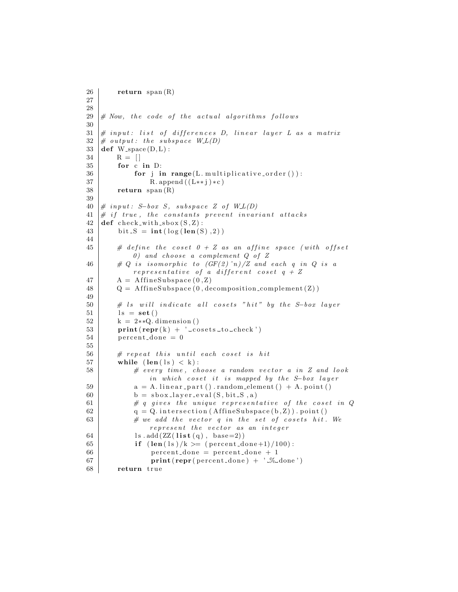```
26 return span (R)27
28
29 \mid \text{\#} Now, the code of the actual algorithms follows
30
31 \mid \# \text{ input}: \text{ list of differences } D, \text{ linear layer } L \text{ as a matrix}32 \neq output: the subspace W.L(D)33 def W_space (D, L):
34 R = []
35 for c in D:
36 for j in range (L. multiplicative order ()):
37 R. append ( (L**j)*c )
38 return span (R)39
40 \neq input: S-box S, subspace Z of WL(D)41 \# if true, the constants prevent invariant attacks
42 \det check_with_sbox(S,Z):
43 bit S = \text{int}(\log(\text{len}(S), 2))44
45 \# define the coset 0 + Z as an affine space (with offset
           0) and choose a complement Q of Z46 \parallel # Q is isomorphic to (GF(2) \n\hat{\ } n)/Z and each q in Q is a
           representative of a different coset q + Z47 A = AffineSubspace(0, Z)48 | Q = AffineSubspace (0, decomposition_complement (Z))
49
50 | \# is will indicate all cosets "hit" by the S-box layer
51 ls = set ()
52 \mid k = 2**Q. dimension ()
53 | print (repr(k) + '_cosets_to_check')
54 | percent_done = 0
55
56 # repeat this until each coset is hit
57 while (len ( 1s ) < k ):
58 \qquad # every time, choose a random vector a in Z and look
               in which coset it is mapped by the S-box layer
59 a = A. linear part (). random element () + A. point ()
60 b = sbox_layer_eval(S, bit_S, a)
61 # q gives the unique representative of the coset in Q
62 q = Q. intersection (AffineSubspace (b, Z)). point ()
63 # we add the vector q in the set of cosets hit. We
               represent the vector as an integer
64 | Is \text{add}(\text{ZZ}(\text{list}(q), \text{base}=2))65 if (\text{len}(1s)/k) = (\text{percent\_done}+1)/100):
66 | percent_done = percent_done + 1
67 | print ( repr ( percent_done ) + \cdot \%_done ' )
68 return true
```